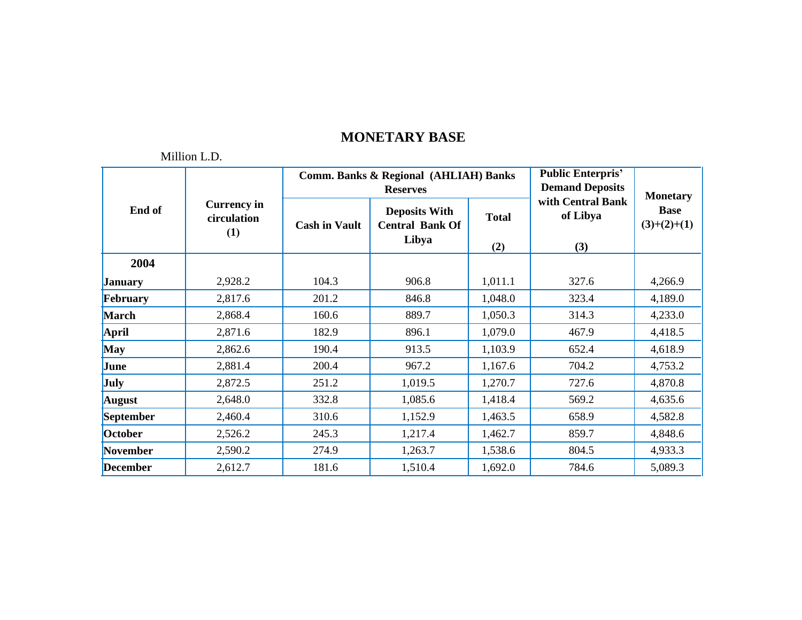|                 |                                          |                      | <b>Comm. Banks &amp; Regional (AHLIAH) Banks</b><br><b>Reserves</b> | <b>Public Enterpris'</b><br><b>Demand Deposits</b> | <b>Monetary</b>                      |                              |
|-----------------|------------------------------------------|----------------------|---------------------------------------------------------------------|----------------------------------------------------|--------------------------------------|------------------------------|
| End of          | <b>Currency in</b><br>circulation<br>(1) | <b>Cash in Vault</b> | <b>Deposits With</b><br><b>Central Bank Of</b><br>Libya             | <b>Total</b><br>(2)                                | with Central Bank<br>of Libya<br>(3) | <b>Base</b><br>$(3)+(2)+(1)$ |
| 2004            |                                          |                      |                                                                     |                                                    |                                      |                              |
| <b>January</b>  | 2,928.2                                  | 104.3                | 906.8                                                               | 1,011.1                                            | 327.6                                | 4,266.9                      |
| February        | 2,817.6                                  | 201.2                | 846.8                                                               | 1,048.0                                            | 323.4                                | 4,189.0                      |
| <b>March</b>    | 2,868.4                                  | 160.6                | 889.7                                                               | 1,050.3                                            | 314.3                                | 4,233.0                      |
| April           | 2,871.6                                  | 182.9                | 896.1                                                               | 1,079.0                                            | 467.9                                | 4,418.5                      |
| <b>May</b>      | 2,862.6                                  | 190.4                | 913.5                                                               | 1,103.9                                            | 652.4                                | 4,618.9                      |
| June            | 2,881.4                                  | 200.4                | 967.2                                                               | 1,167.6                                            | 704.2                                | 4,753.2                      |
| July            | 2,872.5                                  | 251.2                | 1,019.5                                                             | 1,270.7                                            | 727.6                                | 4,870.8                      |
| <b>August</b>   | 2,648.0                                  | 332.8                | 1,085.6                                                             | 1,418.4                                            | 569.2                                | 4,635.6                      |
| September       | 2,460.4                                  | 310.6                | 1,152.9                                                             | 1,463.5                                            | 658.9                                | 4,582.8                      |
| October         | 2,526.2                                  | 245.3                | 1,217.4                                                             | 1,462.7                                            | 859.7                                | 4,848.6                      |
| November        | 2,590.2                                  | 274.9                | 1,263.7                                                             | 1,538.6                                            | 804.5                                | 4,933.3                      |
| <b>December</b> | 2,612.7                                  | 181.6                | 1,510.4                                                             | 1,692.0                                            | 784.6                                | 5,089.3                      |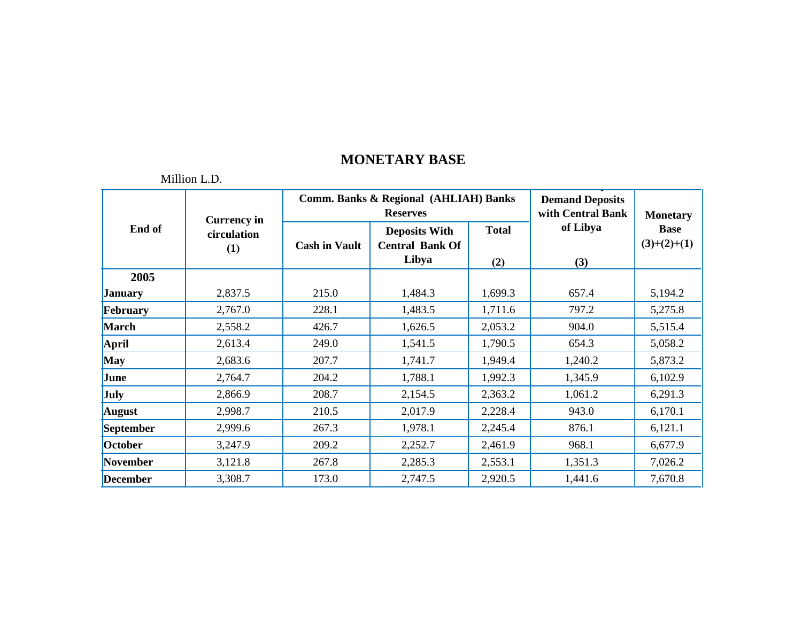|                 | TVIIIIIUII L. $\nu$ . |                      |                                                                     |                                             |                 |                              |
|-----------------|-----------------------|----------------------|---------------------------------------------------------------------|---------------------------------------------|-----------------|------------------------------|
| End of          | <b>Currency in</b>    |                      | <b>Comm. Banks &amp; Regional (AHLIAH) Banks</b><br><b>Reserves</b> | <b>Demand Deposits</b><br>with Central Bank | <b>Monetary</b> |                              |
|                 | circulation<br>(1)    | <b>Cash in Vault</b> | <b>Deposits With</b><br><b>Central Bank Of</b><br>Libya             | <b>Total</b><br>(2)                         | of Libya<br>(3) | <b>Base</b><br>$(3)+(2)+(1)$ |
| 2005            |                       |                      |                                                                     |                                             |                 |                              |
| <b>January</b>  | 2,837.5               | 215.0                | 1,484.3                                                             | 1,699.3                                     | 657.4           | 5,194.2                      |
| February        | 2,767.0               | 228.1                | 1,483.5                                                             | 1,711.6                                     | 797.2           | 5,275.8                      |
| <b>March</b>    | 2,558.2               | 426.7                | 1,626.5                                                             | 2,053.2                                     | 904.0           | 5,515.4                      |
| April           | 2,613.4               | 249.0                | 1,541.5                                                             | 1,790.5                                     | 654.3           | 5,058.2                      |
| <b>May</b>      | 2,683.6               | 207.7                | 1,741.7                                                             | 1,949.4                                     | 1,240.2         | 5,873.2                      |
| June            | 2,764.7               | 204.2                | 1,788.1                                                             | 1,992.3                                     | 1,345.9         | 6,102.9                      |
| <b>July</b>     | 2,866.9               | 208.7                | 2,154.5                                                             | 2,363.2                                     | 1,061.2         | 6,291.3                      |
| <b>August</b>   | 2,998.7               | 210.5                | 2,017.9                                                             | 2,228.4                                     | 943.0           | 6,170.1                      |
| September       | 2,999.6               | 267.3                | 1,978.1                                                             | 2,245.4                                     | 876.1           | 6,121.1                      |
| October         | 3,247.9               | 209.2                | 2,252.7                                                             | 2,461.9                                     | 968.1           | 6,677.9                      |
| November        | 3,121.8               | 267.8                | 2,285.3                                                             | 2,553.1                                     | 1,351.3         | 7,026.2                      |
| <b>December</b> | 3,308.7               | 173.0                | 2,747.5                                                             | 2,920.5                                     | 1,441.6         | 7,670.8                      |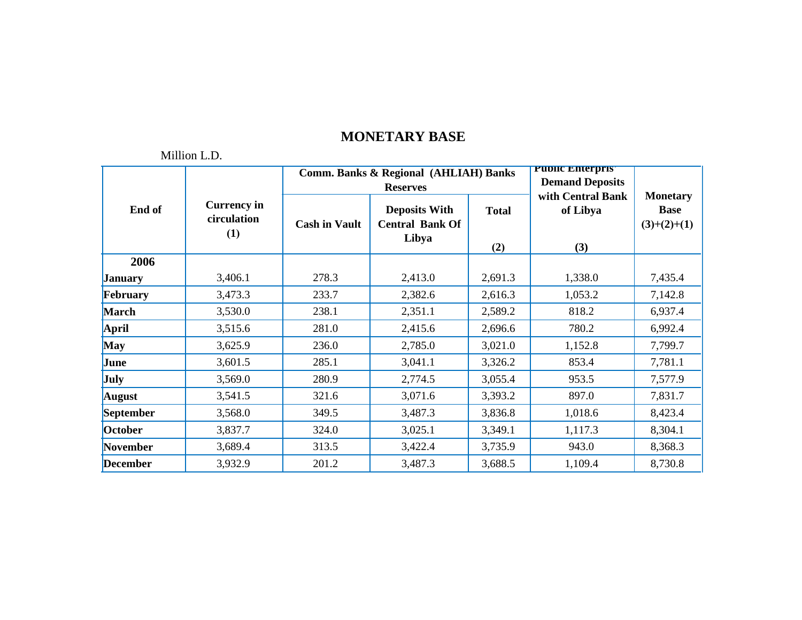|                 |                                          |                      | Comm. Banks & Regional (AHLIAH) Banks<br><b>Reserves</b> | <b>PUDIIC ENTERPRIST</b><br><b>Demand Deposits</b> |                                      |                                                 |
|-----------------|------------------------------------------|----------------------|----------------------------------------------------------|----------------------------------------------------|--------------------------------------|-------------------------------------------------|
| End of          | <b>Currency in</b><br>circulation<br>(1) | <b>Cash in Vault</b> | <b>Deposits With</b><br><b>Central Bank Of</b><br>Libya  | <b>Total</b><br>(2)                                | with Central Bank<br>of Libya<br>(3) | <b>Monetary</b><br><b>Base</b><br>$(3)+(2)+(1)$ |
| 2006            |                                          |                      |                                                          |                                                    |                                      |                                                 |
| <b>January</b>  | 3,406.1                                  | 278.3                | 2,413.0                                                  | 2,691.3                                            | 1,338.0                              | 7,435.4                                         |
| February        | 3,473.3                                  | 233.7                | 2,382.6                                                  | 2,616.3                                            | 1,053.2                              | 7,142.8                                         |
| <b>March</b>    | 3,530.0                                  | 238.1                | 2,351.1                                                  | 2,589.2                                            | 818.2                                | 6,937.4                                         |
| <b>April</b>    | 3,515.6                                  | 281.0                | 2,415.6                                                  | 2,696.6                                            | 780.2                                | 6,992.4                                         |
| <b>May</b>      | 3,625.9                                  | 236.0                | 2,785.0                                                  | 3,021.0                                            | 1,152.8                              | 7,799.7                                         |
| June            | 3,601.5                                  | 285.1                | 3,041.1                                                  | 3,326.2                                            | 853.4                                | 7,781.1                                         |
| July            | 3,569.0                                  | 280.9                | 2,774.5                                                  | 3,055.4                                            | 953.5                                | 7,577.9                                         |
| <b>August</b>   | 3,541.5                                  | 321.6                | 3,071.6                                                  | 3,393.2                                            | 897.0                                | 7,831.7                                         |
| September       | 3,568.0                                  | 349.5                | 3,487.3                                                  | 3,836.8                                            | 1,018.6                              | 8,423.4                                         |
| October         | 3,837.7                                  | 324.0                | 3,025.1                                                  | 3,349.1                                            | 1,117.3                              | 8,304.1                                         |
| November        | 3,689.4                                  | 313.5                | 3,422.4                                                  | 3,735.9                                            | 943.0                                | 8,368.3                                         |
| <b>December</b> | 3,932.9                                  | 201.2                | 3,487.3                                                  | 3,688.5                                            | 1,109.4                              | 8,730.8                                         |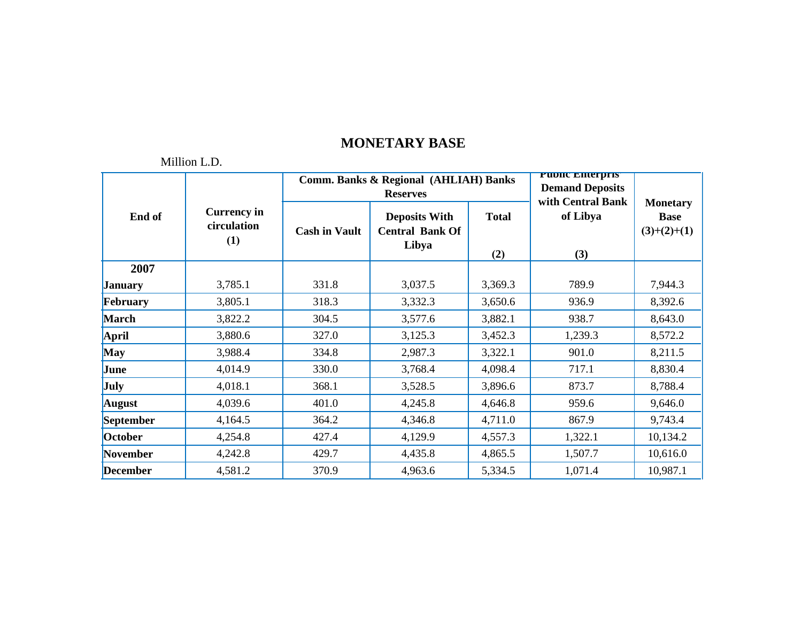|                 |                                          |                      | Comm. Banks & Regional (AHLIAH) Banks<br><b>Reserves</b> | <b>PUDIC EMETORS</b><br><b>Demand Deposits</b><br>with Central Bank |                 |                                                 |
|-----------------|------------------------------------------|----------------------|----------------------------------------------------------|---------------------------------------------------------------------|-----------------|-------------------------------------------------|
| End of          | <b>Currency in</b><br>circulation<br>(1) | <b>Cash in Vault</b> | <b>Deposits With</b><br><b>Central Bank Of</b><br>Libya  | <b>Total</b><br>(2)                                                 | of Libya<br>(3) | <b>Monetary</b><br><b>Base</b><br>$(3)+(2)+(1)$ |
| 2007            |                                          |                      |                                                          |                                                                     |                 |                                                 |
| <b>January</b>  | 3,785.1                                  | 331.8                | 3,037.5                                                  | 3,369.3                                                             | 789.9           | 7,944.3                                         |
| February        | 3,805.1                                  | 318.3                | 3,332.3                                                  | 3,650.6                                                             | 936.9           | 8,392.6                                         |
| <b>March</b>    | 3,822.2                                  | 304.5                | 3,577.6                                                  | 3,882.1                                                             | 938.7           | 8,643.0                                         |
| <b>April</b>    | 3,880.6                                  | 327.0                | 3,125.3                                                  | 3,452.3                                                             | 1,239.3         | 8,572.2                                         |
| <b>May</b>      | 3,988.4                                  | 334.8                | 2,987.3                                                  | 3,322.1                                                             | 901.0           | 8,211.5                                         |
| June            | 4,014.9                                  | 330.0                | 3,768.4                                                  | 4,098.4                                                             | 717.1           | 8,830.4                                         |
| July            | 4,018.1                                  | 368.1                | 3,528.5                                                  | 3,896.6                                                             | 873.7           | 8,788.4                                         |
| <b>August</b>   | 4,039.6                                  | 401.0                | 4,245.8                                                  | 4,646.8                                                             | 959.6           | 9,646.0                                         |
| September       | 4,164.5                                  | 364.2                | 4,346.8                                                  | 4,711.0                                                             | 867.9           | 9,743.4                                         |
| October         | 4,254.8                                  | 427.4                | 4,129.9                                                  | 4,557.3                                                             | 1,322.1         | 10,134.2                                        |
| November        | 4,242.8                                  | 429.7                | 4,435.8                                                  | 4,865.5                                                             | 1,507.7         | 10,616.0                                        |
| <b>December</b> | 4,581.2                                  | 370.9                | 4,963.6                                                  | 5,334.5                                                             | 1,071.4         | 10,987.1                                        |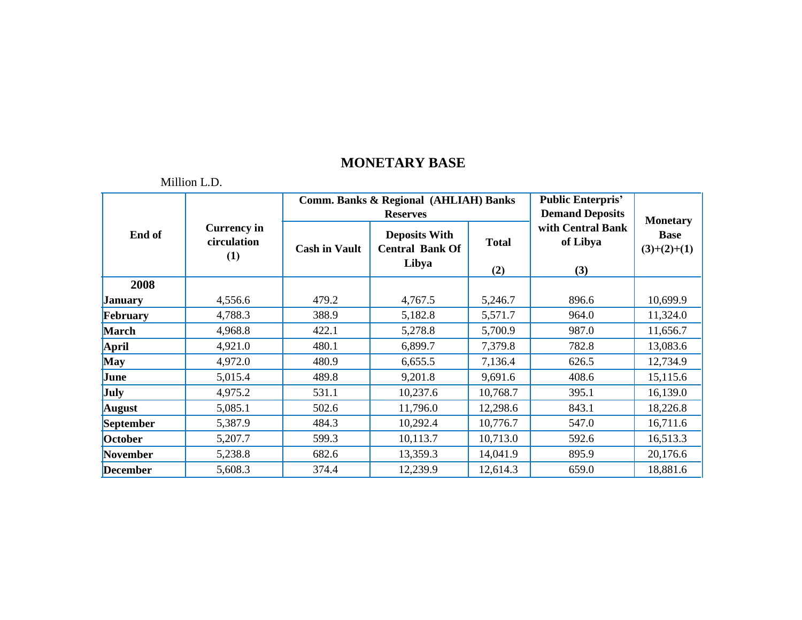|                 |                                          |                      | <b>Comm. Banks &amp; Regional (AHLIAH) Banks</b><br><b>Reserves</b> | <b>Public Enterpris'</b><br><b>Demand Deposits</b> | <b>Monetary</b>                      |                              |
|-----------------|------------------------------------------|----------------------|---------------------------------------------------------------------|----------------------------------------------------|--------------------------------------|------------------------------|
| End of          | <b>Currency in</b><br>circulation<br>(1) | <b>Cash in Vault</b> | <b>Deposits With</b><br><b>Central Bank Of</b><br>Libya             | <b>Total</b><br>(2)                                | with Central Bank<br>of Libya<br>(3) | <b>Base</b><br>$(3)+(2)+(1)$ |
| 2008            |                                          |                      |                                                                     |                                                    |                                      |                              |
| <b>January</b>  | 4,556.6                                  | 479.2                | 4,767.5                                                             | 5,246.7                                            | 896.6                                | 10,699.9                     |
| February        | 4,788.3                                  | 388.9                | 5,182.8                                                             | 5,571.7                                            | 964.0                                | 11,324.0                     |
| <b>March</b>    | 4,968.8                                  | 422.1                | 5,278.8                                                             | 5,700.9                                            | 987.0                                | 11,656.7                     |
| April           | 4,921.0                                  | 480.1                | 6,899.7                                                             | 7,379.8                                            | 782.8                                | 13,083.6                     |
| <b>May</b>      | 4,972.0                                  | 480.9                | 6,655.5                                                             | 7,136.4                                            | 626.5                                | 12,734.9                     |
| June            | 5,015.4                                  | 489.8                | 9,201.8                                                             | 9,691.6                                            | 408.6                                | 15,115.6                     |
| July            | 4,975.2                                  | 531.1                | 10,237.6                                                            | 10,768.7                                           | 395.1                                | 16,139.0                     |
| <b>August</b>   | 5,085.1                                  | 502.6                | 11,796.0                                                            | 12,298.6                                           | 843.1                                | 18,226.8                     |
| September       | 5,387.9                                  | 484.3                | 10,292.4                                                            | 10,776.7                                           | 547.0                                | 16,711.6                     |
| October         | 5,207.7                                  | 599.3                | 10,113.7                                                            | 10,713.0                                           | 592.6                                | 16,513.3                     |
| November        | 5,238.8                                  | 682.6                | 13,359.3                                                            | 14,041.9                                           | 895.9                                | 20,176.6                     |
| <b>December</b> | 5,608.3                                  | 374.4                | 12,239.9                                                            | 12,614.3                                           | 659.0                                | 18,881.6                     |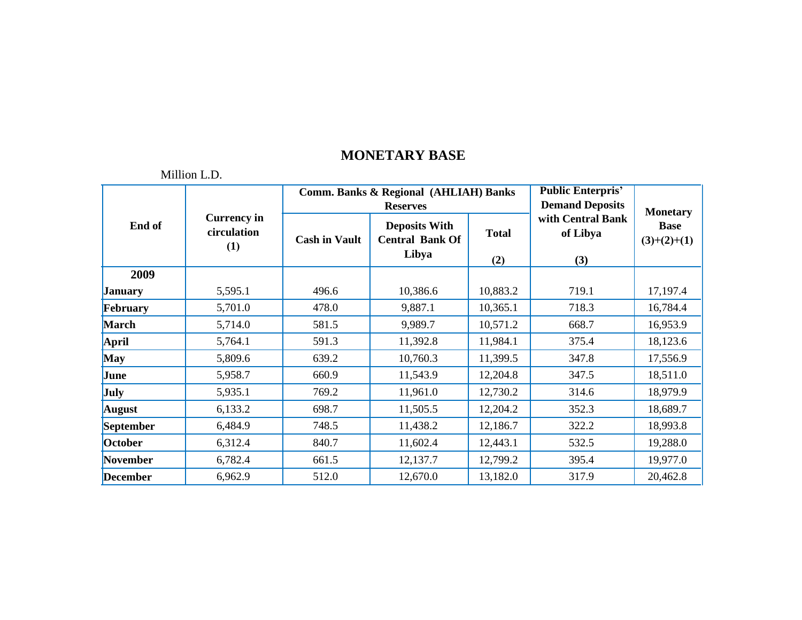|                 |                                          |                      | <b>Comm. Banks &amp; Regional (AHLIAH) Banks</b>                           | <b>Public Enterpris'</b><br><b>Demand Deposits</b> |                                      |                                                 |
|-----------------|------------------------------------------|----------------------|----------------------------------------------------------------------------|----------------------------------------------------|--------------------------------------|-------------------------------------------------|
| End of          | <b>Currency in</b><br>circulation<br>(1) | <b>Cash in Vault</b> | <b>Reserves</b><br><b>Deposits With</b><br><b>Central Bank Of</b><br>Libya | <b>Total</b><br>(2)                                | with Central Bank<br>of Libya<br>(3) | <b>Monetary</b><br><b>Base</b><br>$(3)+(2)+(1)$ |
| 2009            |                                          |                      |                                                                            |                                                    |                                      |                                                 |
| <b>January</b>  | 5,595.1                                  | 496.6                | 10,386.6                                                                   | 10,883.2                                           | 719.1                                | 17,197.4                                        |
| February        | 5,701.0                                  | 478.0                | 9,887.1                                                                    | 10,365.1                                           | 718.3                                | 16,784.4                                        |
| <b>March</b>    | 5,714.0                                  | 581.5                | 9,989.7                                                                    | 10,571.2                                           | 668.7                                | 16,953.9                                        |
| April           | 5,764.1                                  | 591.3                | 11,392.8                                                                   | 11,984.1                                           | 375.4                                | 18,123.6                                        |
| <b>May</b>      | 5,809.6                                  | 639.2                | 10,760.3                                                                   | 11,399.5                                           | 347.8                                | 17,556.9                                        |
| June            | 5,958.7                                  | 660.9                | 11,543.9                                                                   | 12,204.8                                           | 347.5                                | 18,511.0                                        |
| July            | 5,935.1                                  | 769.2                | 11,961.0                                                                   | 12,730.2                                           | 314.6                                | 18,979.9                                        |
| <b>August</b>   | 6,133.2                                  | 698.7                | 11,505.5                                                                   | 12,204.2                                           | 352.3                                | 18,689.7                                        |
| September       | 6,484.9                                  | 748.5                | 11,438.2                                                                   | 12,186.7                                           | 322.2                                | 18,993.8                                        |
| October         | 6,312.4                                  | 840.7                | 11,602.4                                                                   | 12,443.1                                           | 532.5                                | 19,288.0                                        |
| November        | 6,782.4                                  | 661.5                | 12,137.7                                                                   | 12,799.2                                           | 395.4                                | 19,977.0                                        |
| <b>December</b> | 6,962.9                                  | 512.0                | 12,670.0                                                                   | 13,182.0                                           | 317.9                                | 20,462.8                                        |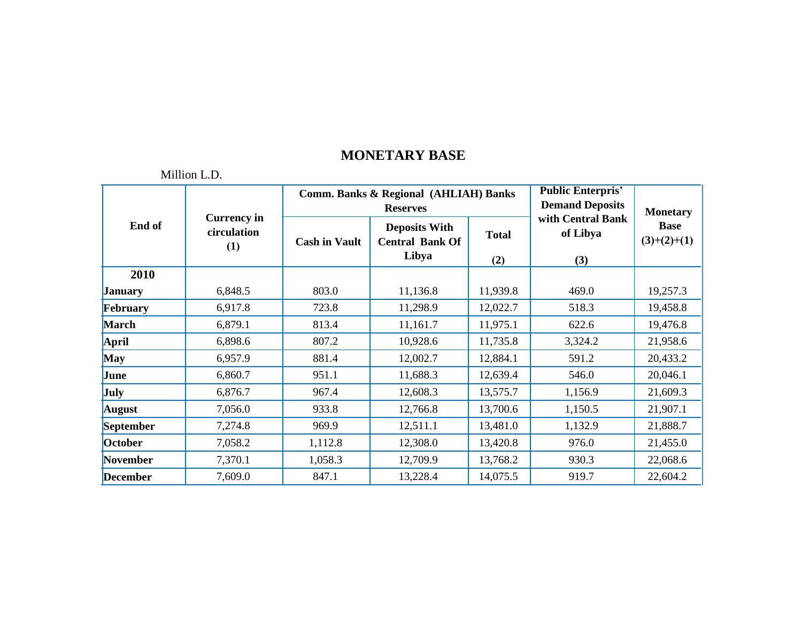| End of           |                                          |                      | <b>Comm. Banks &amp; Regional (AHLIAH) Banks</b><br><b>Reserves</b> | <b>Public Enterpris'</b><br><b>Demand Deposits</b> | <b>Monetary</b>                      |                              |
|------------------|------------------------------------------|----------------------|---------------------------------------------------------------------|----------------------------------------------------|--------------------------------------|------------------------------|
|                  | <b>Currency in</b><br>circulation<br>(1) | <b>Cash in Vault</b> | <b>Deposits With</b><br><b>Central Bank Of</b><br>Libya             | <b>Total</b><br>(2)                                | with Central Bank<br>of Libya<br>(3) | <b>Base</b><br>$(3)+(2)+(1)$ |
| 2010             |                                          |                      |                                                                     |                                                    |                                      |                              |
| <b>January</b>   | 6,848.5                                  | 803.0                | 11,136.8                                                            | 11,939.8                                           | 469.0                                | 19,257.3                     |
| February         | 6,917.8                                  | 723.8                | 11,298.9                                                            | 12,022.7                                           | 518.3                                | 19,458.8                     |
| <b>March</b>     | 6,879.1                                  | 813.4                | 11,161.7                                                            | 11,975.1                                           | 622.6                                | 19,476.8                     |
| April            | 6,898.6                                  | 807.2                | 10,928.6                                                            | 11,735.8                                           | 3,324.2                              | 21,958.6                     |
| <b>May</b>       | 6,957.9                                  | 881.4                | 12,002.7                                                            | 12,884.1                                           | 591.2                                | 20,433.2                     |
| June             | 6,860.7                                  | 951.1                | 11,688.3                                                            | 12,639.4                                           | 546.0                                | 20,046.1                     |
| July             | 6,876.7                                  | 967.4                | 12,608.3                                                            | 13,575.7                                           | 1,156.9                              | 21,609.3                     |
| <b>August</b>    | 7,056.0                                  | 933.8                | 12,766.8                                                            | 13,700.6                                           | 1,150.5                              | 21,907.1                     |
| <b>September</b> | 7,274.8                                  | 969.9                | 12,511.1                                                            | 13,481.0                                           | 1,132.9                              | 21,888.7                     |
| October          | 7,058.2                                  | 1,112.8              | 12,308.0                                                            | 13,420.8                                           | 976.0                                | 21,455.0                     |
| <b>November</b>  | 7,370.1                                  | 1,058.3              | 12,709.9                                                            | 13,768.2                                           | 930.3                                | 22,068.6                     |
| <b>December</b>  | 7,609.0                                  | 847.1                | 13,228.4                                                            | 14,075.5                                           | 919.7                                | 22,604.2                     |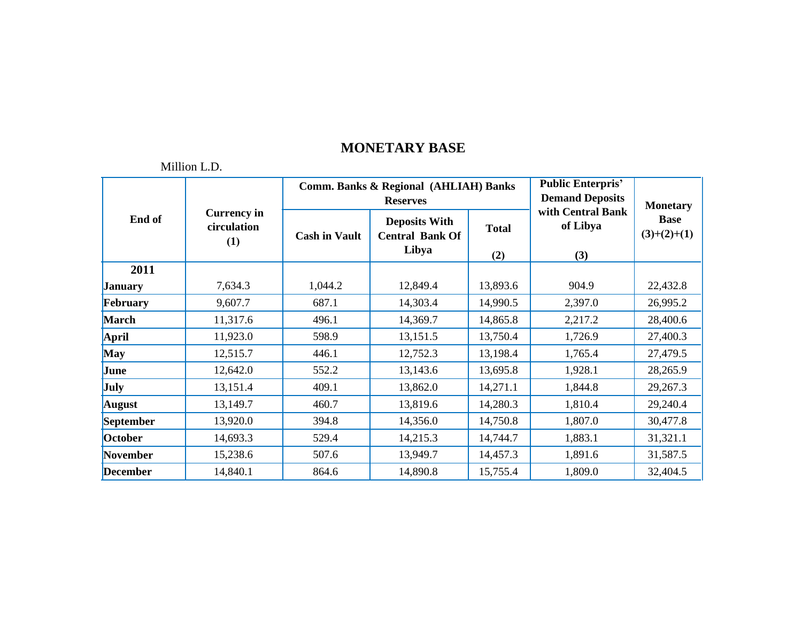| End of          | <b>Currency in</b><br>circulation<br>(1) |                      | Comm. Banks & Regional (AHLIAH) Banks<br><b>Reserves</b> | <b>Public Enterpris'</b><br><b>Demand Deposits</b> | <b>Monetary</b>                      |                              |
|-----------------|------------------------------------------|----------------------|----------------------------------------------------------|----------------------------------------------------|--------------------------------------|------------------------------|
|                 |                                          | <b>Cash in Vault</b> | <b>Deposits With</b><br><b>Central Bank Of</b><br>Libya  | <b>Total</b><br>(2)                                | with Central Bank<br>of Libya<br>(3) | <b>Base</b><br>$(3)+(2)+(1)$ |
| 2011            |                                          |                      |                                                          |                                                    |                                      |                              |
| <b>January</b>  | 7,634.3                                  | 1,044.2              | 12,849.4                                                 | 13,893.6                                           | 904.9                                | 22,432.8                     |
| February        | 9,607.7                                  | 687.1                | 14,303.4                                                 | 14,990.5                                           | 2,397.0                              | 26,995.2                     |
| <b>March</b>    | 11,317.6                                 | 496.1                | 14,369.7                                                 | 14,865.8                                           | 2,217.2                              | 28,400.6                     |
| April           | 11,923.0                                 | 598.9                | 13,151.5                                                 | 13,750.4                                           | 1,726.9                              | 27,400.3                     |
| <b>May</b>      | 12,515.7                                 | 446.1                | 12,752.3                                                 | 13,198.4                                           | 1,765.4                              | 27,479.5                     |
| June            | 12,642.0                                 | 552.2                | 13,143.6                                                 | 13,695.8                                           | 1,928.1                              | 28,265.9                     |
| <b>July</b>     | 13,151.4                                 | 409.1                | 13,862.0                                                 | 14,271.1                                           | 1,844.8                              | 29,267.3                     |
| <b>August</b>   | 13,149.7                                 | 460.7                | 13,819.6                                                 | 14,280.3                                           | 1,810.4                              | 29,240.4                     |
| September       | 13,920.0                                 | 394.8                | 14,356.0                                                 | 14,750.8                                           | 1,807.0                              | 30,477.8                     |
| October         | 14,693.3                                 | 529.4                | 14,215.3                                                 | 14,744.7                                           | 1,883.1                              | 31,321.1                     |
| November        | 15,238.6                                 | 507.6                | 13,949.7                                                 | 14,457.3                                           | 1,891.6                              | 31,587.5                     |
| <b>December</b> | 14,840.1                                 | 864.6                | 14,890.8                                                 | 15,755.4                                           | 1,809.0                              | 32,404.5                     |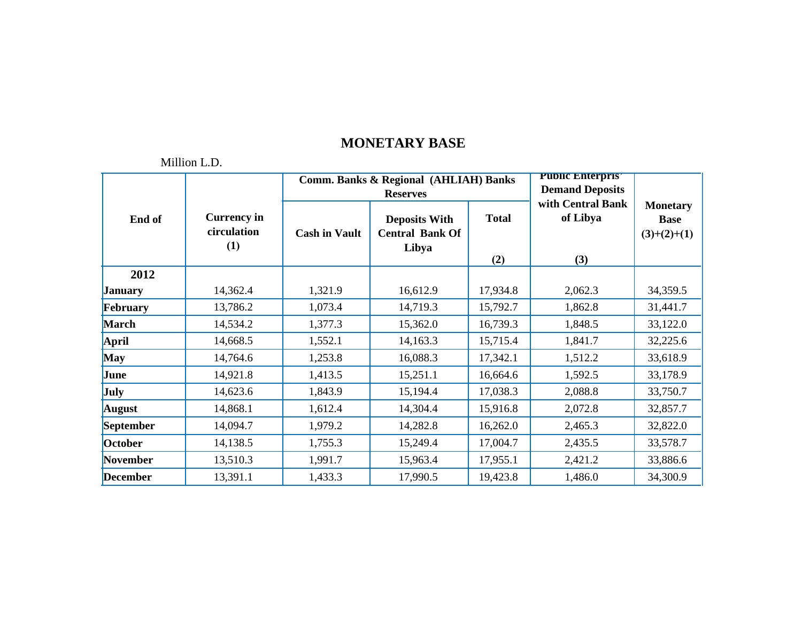|                 |                                          |                      | <b>Comm. Banks &amp; Regional (AHLIAH) Banks</b><br><b>Reserves</b> | <b>Public Enterpris'</b><br><b>Demand Deposits</b> |                                      |                                                 |
|-----------------|------------------------------------------|----------------------|---------------------------------------------------------------------|----------------------------------------------------|--------------------------------------|-------------------------------------------------|
| End of          | <b>Currency in</b><br>circulation<br>(1) | <b>Cash in Vault</b> | <b>Deposits With</b><br><b>Central Bank Of</b><br>Libya             | <b>Total</b><br>(2)                                | with Central Bank<br>of Libya<br>(3) | <b>Monetary</b><br><b>Base</b><br>$(3)+(2)+(1)$ |
| 2012            |                                          |                      |                                                                     |                                                    |                                      |                                                 |
| <b>January</b>  | 14,362.4                                 | 1,321.9              | 16,612.9                                                            | 17,934.8                                           | 2,062.3                              | 34,359.5                                        |
| February        | 13,786.2                                 | 1,073.4              | 14,719.3                                                            | 15,792.7                                           | 1,862.8                              | 31,441.7                                        |
| <b>March</b>    | 14,534.2                                 | 1,377.3              | 15,362.0                                                            | 16,739.3                                           | 1,848.5                              | 33,122.0                                        |
| <b>April</b>    | 14,668.5                                 | 1,552.1              | 14,163.3                                                            | 15,715.4                                           | 1,841.7                              | 32,225.6                                        |
| <b>May</b>      | 14,764.6                                 | 1,253.8              | 16,088.3                                                            | 17,342.1                                           | 1,512.2                              | 33,618.9                                        |
| June            | 14,921.8                                 | 1,413.5              | 15,251.1                                                            | 16,664.6                                           | 1,592.5                              | 33,178.9                                        |
| July            | 14,623.6                                 | 1,843.9              | 15,194.4                                                            | 17,038.3                                           | 2,088.8                              | 33,750.7                                        |
| <b>August</b>   | 14,868.1                                 | 1,612.4              | 14,304.4                                                            | 15,916.8                                           | 2,072.8                              | 32,857.7                                        |
| September       | 14,094.7                                 | 1,979.2              | 14,282.8                                                            | 16,262.0                                           | 2,465.3                              | 32,822.0                                        |
| October         | 14,138.5                                 | 1,755.3              | 15,249.4                                                            | 17,004.7                                           | 2,435.5                              | 33,578.7                                        |
| <b>November</b> | 13,510.3                                 | 1,991.7              | 15,963.4                                                            | 17,955.1                                           | 2,421.2                              | 33,886.6                                        |
| <b>December</b> | 13,391.1                                 | 1,433.3              | 17,990.5                                                            | 19,423.8                                           | 1,486.0                              | 34,300.9                                        |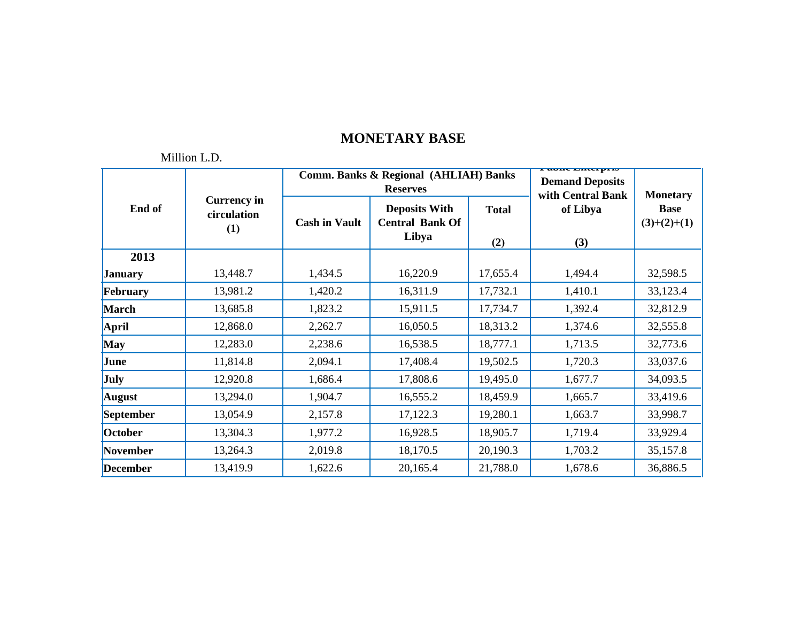| End of          |                                          |                      | <b>Comm. Banks &amp; Regional (AHLIAH) Banks</b><br><b>Reserves</b> | г ирну енитрі 19<br><b>Demand Deposits</b><br>with Central Bank | <b>Monetary</b> |                              |
|-----------------|------------------------------------------|----------------------|---------------------------------------------------------------------|-----------------------------------------------------------------|-----------------|------------------------------|
|                 | <b>Currency</b> in<br>circulation<br>(1) | <b>Cash in Vault</b> | <b>Deposits With</b><br><b>Central Bank Of</b><br>Libya             | <b>Total</b><br>(2)                                             | of Libya<br>(3) | <b>Base</b><br>$(3)+(2)+(1)$ |
| 2013            |                                          |                      |                                                                     |                                                                 |                 |                              |
| <b>January</b>  | 13,448.7                                 | 1,434.5              | 16,220.9                                                            | 17,655.4                                                        | 1,494.4         | 32,598.5                     |
| February        | 13,981.2                                 | 1,420.2              | 16,311.9                                                            | 17,732.1                                                        | 1,410.1         | 33,123.4                     |
| <b>March</b>    | 13,685.8                                 | 1,823.2              | 15,911.5                                                            | 17,734.7                                                        | 1,392.4         | 32,812.9                     |
| April           | 12,868.0                                 | 2,262.7              | 16,050.5                                                            | 18,313.2                                                        | 1,374.6         | 32,555.8                     |
| <b>May</b>      | 12,283.0                                 | 2,238.6              | 16,538.5                                                            | 18,777.1                                                        | 1,713.5         | 32,773.6                     |
| June            | 11,814.8                                 | 2,094.1              | 17,408.4                                                            | 19,502.5                                                        | 1,720.3         | 33,037.6                     |
| <b>July</b>     | 12,920.8                                 | 1,686.4              | 17,808.6                                                            | 19,495.0                                                        | 1,677.7         | 34,093.5                     |
| <b>August</b>   | 13,294.0                                 | 1,904.7              | 16,555.2                                                            | 18,459.9                                                        | 1,665.7         | 33,419.6                     |
| September       | 13,054.9                                 | 2,157.8              | 17,122.3                                                            | 19,280.1                                                        | 1,663.7         | 33,998.7                     |
| October         | 13,304.3                                 | 1,977.2              | 16,928.5                                                            | 18,905.7                                                        | 1,719.4         | 33,929.4                     |
| November        | 13,264.3                                 | 2,019.8              | 18,170.5                                                            | 20,190.3                                                        | 1,703.2         | 35,157.8                     |
| <b>December</b> | 13,419.9                                 | 1,622.6              | 20,165.4                                                            | 21,788.0                                                        | 1,678.6         | 36,886.5                     |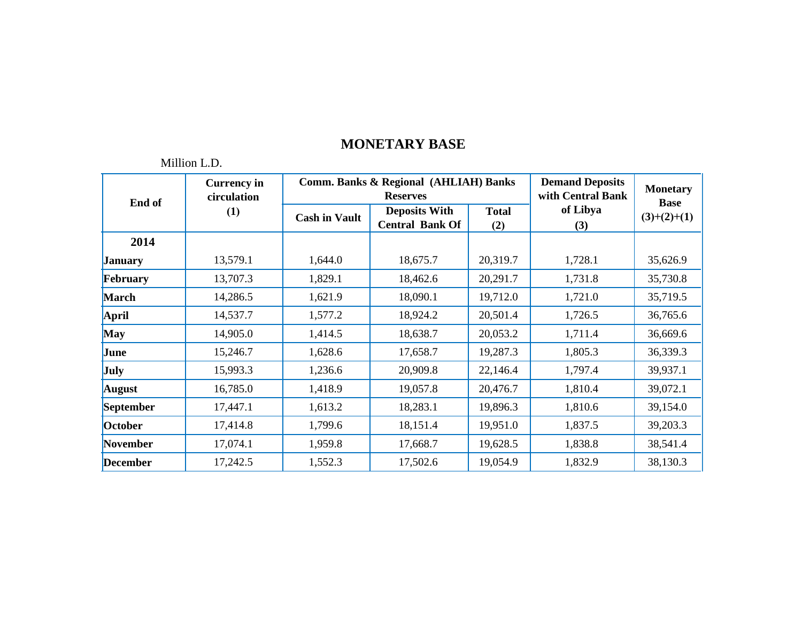|                 | NHHION L.D.                       |                      |                                                          |                     |                 |                                |
|-----------------|-----------------------------------|----------------------|----------------------------------------------------------|---------------------|-----------------|--------------------------------|
| End of          | <b>Currency in</b><br>circulation |                      | Comm. Banks & Regional (AHLIAH) Banks<br><b>Reserves</b> |                     |                 | <b>Monetary</b><br><b>Base</b> |
|                 | (1)                               | <b>Cash in Vault</b> | <b>Deposits With</b><br><b>Central Bank Of</b>           | <b>Total</b><br>(2) | of Libya<br>(3) | $(3)+(2)+(1)$                  |
| 2014            |                                   |                      |                                                          |                     |                 |                                |
| <b>January</b>  | 13,579.1                          | 1,644.0              | 18,675.7                                                 | 20,319.7            | 1,728.1         | 35,626.9                       |
| February        | 13,707.3                          | 1,829.1              | 18,462.6                                                 | 20,291.7            | 1,731.8         | 35,730.8                       |
| <b>March</b>    | 14,286.5                          | 1,621.9              | 18,090.1                                                 | 19,712.0            | 1,721.0         | 35,719.5                       |
| April           | 14,537.7                          | 1,577.2              | 18,924.2                                                 | 20,501.4            | 1,726.5         | 36,765.6                       |
| <b>May</b>      | 14,905.0                          | 1,414.5              | 18,638.7                                                 | 20,053.2            | 1,711.4         | 36,669.6                       |
| June            | 15,246.7                          | 1,628.6              | 17,658.7                                                 | 19,287.3            | 1,805.3         | 36,339.3                       |
| <b>July</b>     | 15,993.3                          | 1,236.6              | 20,909.8                                                 | 22,146.4            | 1,797.4         | 39,937.1                       |
| <b>August</b>   | 16,785.0                          | 1,418.9              | 19,057.8                                                 | 20,476.7            | 1,810.4         | 39,072.1                       |
| September       | 17,447.1                          | 1,613.2              | 18,283.1                                                 | 19,896.3            | 1,810.6         | 39,154.0                       |
| October         | 17,414.8                          | 1,799.6              | 18,151.4                                                 | 19,951.0            | 1,837.5         | 39,203.3                       |
| November        | 17,074.1                          | 1,959.8              | 17,668.7                                                 | 19,628.5            | 1,838.8         | 38,541.4                       |
| <b>December</b> | 17,242.5                          | 1,552.3              | 17,502.6                                                 | 19,054.9            | 1,832.9         | 38,130.3                       |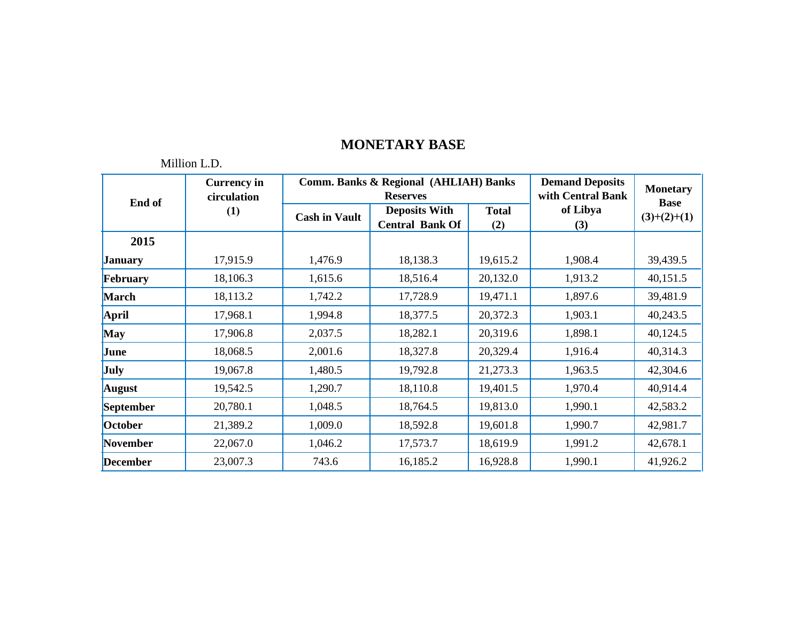|                 | MILION L.D.                       |                      |                                                                     |                     |                 |                                |
|-----------------|-----------------------------------|----------------------|---------------------------------------------------------------------|---------------------|-----------------|--------------------------------|
| End of          | <b>Currency</b> in<br>circulation |                      | <b>Comm. Banks &amp; Regional (AHLIAH) Banks</b><br><b>Reserves</b> |                     |                 | <b>Monetary</b><br><b>Base</b> |
|                 | (1)                               | <b>Cash in Vault</b> | <b>Deposits With</b><br><b>Central Bank Of</b>                      | <b>Total</b><br>(2) | of Libya<br>(3) | $(3)+(2)+(1)$                  |
| 2015            |                                   |                      |                                                                     |                     |                 |                                |
| <b>January</b>  | 17,915.9                          | 1,476.9              | 18,138.3                                                            | 19,615.2            | 1,908.4         | 39,439.5                       |
| February        | 18,106.3                          | 1,615.6              | 18,516.4                                                            | 20,132.0            | 1,913.2         | 40,151.5                       |
| <b>March</b>    | 18,113.2                          | 1,742.2              | 17,728.9                                                            | 19,471.1            | 1,897.6         | 39,481.9                       |
| April           | 17,968.1                          | 1,994.8              | 18,377.5                                                            | 20,372.3            | 1,903.1         | 40,243.5                       |
| <b>May</b>      | 17,906.8                          | 2,037.5              | 18,282.1                                                            | 20,319.6            | 1,898.1         | 40,124.5                       |
| June            | 18,068.5                          | 2,001.6              | 18,327.8                                                            | 20,329.4            | 1,916.4         | 40,314.3                       |
| <b>July</b>     | 19,067.8                          | 1,480.5              | 19,792.8                                                            | 21,273.3            | 1,963.5         | 42,304.6                       |
| <b>August</b>   | 19,542.5                          | 1,290.7              | 18,110.8                                                            | 19,401.5            | 1,970.4         | 40,914.4                       |
| September       | 20,780.1                          | 1,048.5              | 18,764.5                                                            | 19,813.0            | 1,990.1         | 42,583.2                       |
| October         | 21,389.2                          | 1,009.0              | 18,592.8                                                            | 19,601.8            | 1,990.7         | 42,981.7                       |
| November        | 22,067.0                          | 1,046.2              | 17,573.7                                                            | 18,619.9            | 1,991.2         | 42,678.1                       |
| <b>December</b> | 23,007.3                          | 743.6                | 16,185.2                                                            | 16,928.8            | 1,990.1         | 41,926.2                       |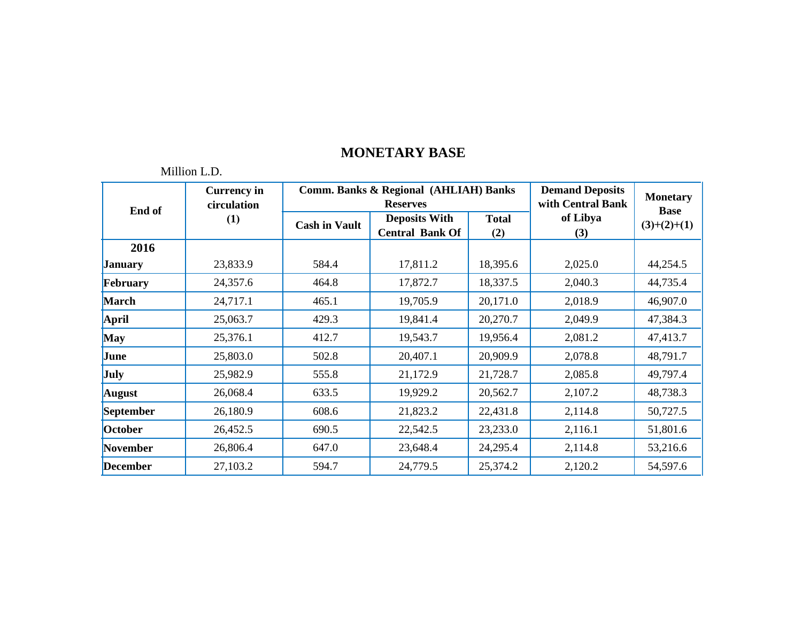| End of          | <b>Currency in</b><br>circulation |                      | <b>Comm. Banks &amp; Regional (AHLIAH) Banks</b><br><b>Reserves</b> | <b>Demand Deposits</b><br>with Central Bank | <b>Monetary</b><br><b>Base</b> |               |
|-----------------|-----------------------------------|----------------------|---------------------------------------------------------------------|---------------------------------------------|--------------------------------|---------------|
|                 | (1)                               | <b>Cash in Vault</b> | <b>Deposits With</b><br><b>Central Bank Of</b>                      | <b>Total</b><br>(2)                         | of Libya<br>(3)                | $(3)+(2)+(1)$ |
| 2016            |                                   |                      |                                                                     |                                             |                                |               |
| <b>January</b>  | 23,833.9                          | 584.4                | 17,811.2                                                            | 18,395.6                                    | 2,025.0                        | 44,254.5      |
| February        | 24,357.6                          | 464.8                | 17,872.7                                                            | 18,337.5                                    | 2,040.3                        | 44,735.4      |
| <b>March</b>    | 24,717.1                          | 465.1                | 19,705.9                                                            | 20,171.0                                    | 2,018.9                        | 46,907.0      |
| <b>April</b>    | 25,063.7                          | 429.3                | 19,841.4                                                            | 20,270.7                                    | 2,049.9                        | 47,384.3      |
| <b>May</b>      | 25,376.1                          | 412.7                | 19,543.7                                                            | 19,956.4                                    | 2,081.2                        | 47,413.7      |
| June            | 25,803.0                          | 502.8                | 20,407.1                                                            | 20,909.9                                    | 2,078.8                        | 48,791.7      |
| July            | 25,982.9                          | 555.8                | 21,172.9                                                            | 21,728.7                                    | 2,085.8                        | 49,797.4      |
| <b>August</b>   | 26,068.4                          | 633.5                | 19,929.2                                                            | 20,562.7                                    | 2,107.2                        | 48,738.3      |
| September       | 26,180.9                          | 608.6                | 21,823.2                                                            | 22,431.8                                    | 2,114.8                        | 50,727.5      |
| October         | 26,452.5                          | 690.5                | 22,542.5                                                            | 23,233.0                                    | 2,116.1                        | 51,801.6      |
| November        | 26,806.4                          | 647.0                | 23,648.4                                                            | 24,295.4                                    | 2,114.8                        | 53,216.6      |
| <b>December</b> | 27,103.2                          | 594.7                | 24,779.5                                                            | 25,374.2                                    | 2,120.2                        | 54,597.6      |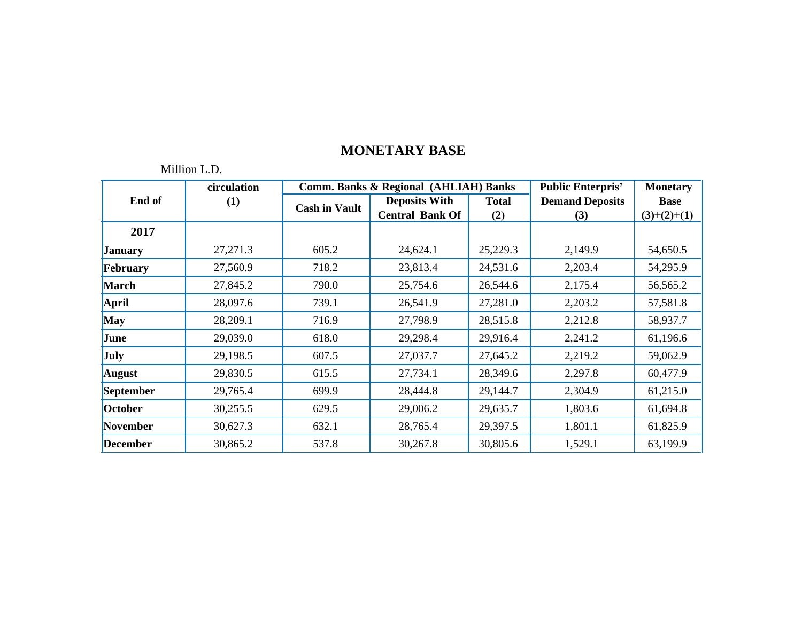|                 | Million L.D. |                      |                                                  |              |                          |                 |
|-----------------|--------------|----------------------|--------------------------------------------------|--------------|--------------------------|-----------------|
|                 | circulation  |                      | <b>Comm. Banks &amp; Regional (AHLIAH) Banks</b> |              | <b>Public Enterpris'</b> | <b>Monetary</b> |
| End of          | (1)          | <b>Cash in Vault</b> | <b>Deposits With</b>                             | <b>Total</b> | <b>Demand Deposits</b>   | <b>Base</b>     |
|                 |              |                      | <b>Central Bank Of</b>                           | (2)          | (3)                      | $(3)+(2)+(1)$   |
| 2017            |              |                      |                                                  |              |                          |                 |
| <b>January</b>  | 27,271.3     | 605.2                | 24,624.1                                         | 25,229.3     | 2,149.9                  | 54,650.5        |
| February        | 27,560.9     | 718.2                | 23,813.4                                         | 24,531.6     | 2,203.4                  | 54,295.9        |
| <b>March</b>    | 27,845.2     | 790.0                | 25,754.6                                         | 26,544.6     | 2,175.4                  | 56,565.2        |
| April           | 28,097.6     | 739.1                | 26,541.9                                         | 27,281.0     | 2,203.2                  | 57,581.8        |
| <b>May</b>      | 28,209.1     | 716.9                | 27,798.9                                         | 28,515.8     | 2,212.8                  | 58,937.7        |
| June            | 29,039.0     | 618.0                | 29,298.4                                         | 29,916.4     | 2,241.2                  | 61,196.6        |
| <b>July</b>     | 29,198.5     | 607.5                | 27,037.7                                         | 27,645.2     | 2,219.2                  | 59,062.9        |
| <b>August</b>   | 29,830.5     | 615.5                | 27,734.1                                         | 28,349.6     | 2,297.8                  | 60,477.9        |
| September       | 29,765.4     | 699.9                | 28,444.8                                         | 29,144.7     | 2,304.9                  | 61,215.0        |
| October         | 30,255.5     | 629.5                | 29,006.2                                         | 29,635.7     | 1,803.6                  | 61,694.8        |
| November        | 30,627.3     | 632.1                | 28,765.4                                         | 29,397.5     | 1,801.1                  | 61,825.9        |
| <b>December</b> | 30,865.2     | 537.8                | 30,267.8                                         | 30,805.6     | 1,529.1                  | 63,199.9        |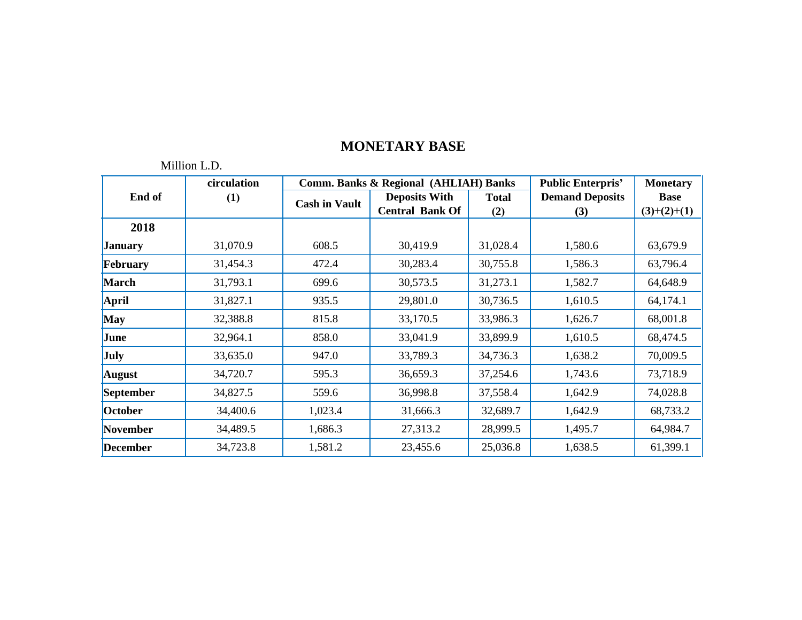|                 | circulation      |                      | <b>Comm. Banks &amp; Regional (AHLIAH) Banks</b> |              | <b>Public Enterpris'</b> | <b>Monetary</b> |
|-----------------|------------------|----------------------|--------------------------------------------------|--------------|--------------------------|-----------------|
| End of          | $\left(1\right)$ | <b>Cash in Vault</b> | <b>Deposits With</b>                             | <b>Total</b> | <b>Demand Deposits</b>   | <b>Base</b>     |
|                 |                  |                      | <b>Central Bank Of</b>                           | (2)          | (3)                      | $(3)+(2)+(1)$   |
| 2018            |                  |                      |                                                  |              |                          |                 |
| <b>January</b>  | 31,070.9         | 608.5                | 30,419.9                                         | 31,028.4     | 1,580.6                  | 63,679.9        |
| February        | 31,454.3         | 472.4                | 30,283.4                                         | 30,755.8     | 1,586.3                  | 63,796.4        |
| March           | 31,793.1         | 699.6                | 30,573.5                                         | 31,273.1     | 1,582.7                  | 64,648.9        |
| <b>April</b>    | 31,827.1         | 935.5                | 29,801.0                                         | 30,736.5     | 1,610.5                  | 64,174.1        |
| <b>May</b>      | 32,388.8         | 815.8                | 33,170.5                                         | 33,986.3     | 1,626.7                  | 68,001.8        |
| June            | 32,964.1         | 858.0                | 33,041.9                                         | 33,899.9     | 1,610.5                  | 68,474.5        |
| July            | 33,635.0         | 947.0                | 33,789.3                                         | 34,736.3     | 1,638.2                  | 70,009.5        |
| <b>August</b>   | 34,720.7         | 595.3                | 36,659.3                                         | 37,254.6     | 1,743.6                  | 73,718.9        |
| September       | 34,827.5         | 559.6                | 36,998.8                                         | 37,558.4     | 1,642.9                  | 74,028.8        |
| October         | 34,400.6         | 1,023.4              | 31,666.3                                         | 32,689.7     | 1,642.9                  | 68,733.2        |
| <b>November</b> | 34,489.5         | 1,686.3              | 27,313.2                                         | 28,999.5     | 1,495.7                  | 64,984.7        |
| <b>December</b> | 34,723.8         | 1,581.2              | 23,455.6                                         | 25,036.8     | 1,638.5                  | 61,399.1        |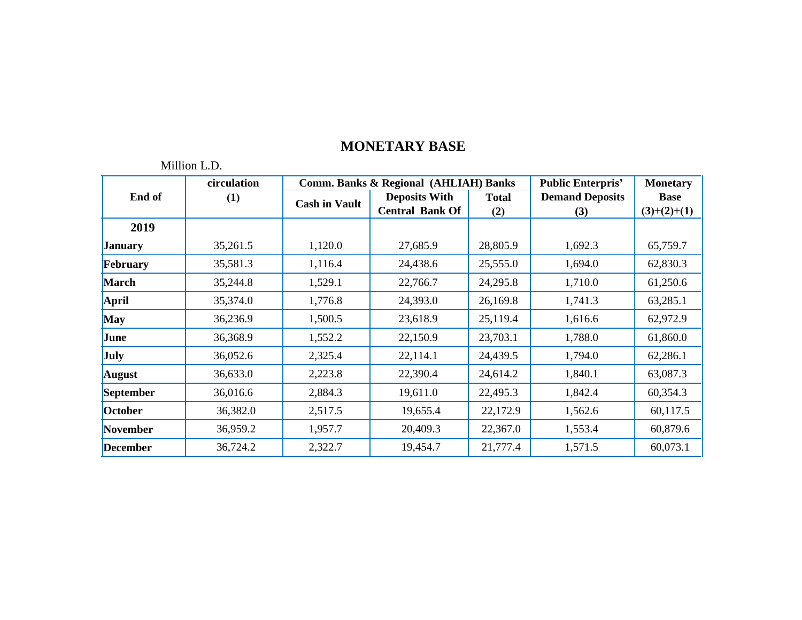|                 | circulation |                      | <b>Comm. Banks &amp; Regional (AHLIAH) Banks</b> |              | <b>Public Enterpris'</b> | <b>Monetary</b> |
|-----------------|-------------|----------------------|--------------------------------------------------|--------------|--------------------------|-----------------|
| End of          | (1)         | <b>Cash in Vault</b> | <b>Deposits With</b>                             | <b>Total</b> | <b>Demand Deposits</b>   | <b>Base</b>     |
|                 |             |                      | <b>Central Bank Of</b>                           | (2)          | (3)                      | $(3)+(2)+(1)$   |
| 2019            |             |                      |                                                  |              |                          |                 |
| <b>January</b>  | 35,261.5    | 1,120.0              | 27,685.9                                         | 28,805.9     | 1,692.3                  | 65,759.7        |
| February        | 35,581.3    | 1,116.4              | 24,438.6                                         | 25,555.0     | 1,694.0                  | 62,830.3        |
| <b>March</b>    | 35,244.8    | 1,529.1              | 22,766.7                                         | 24,295.8     | 1,710.0                  | 61,250.6        |
| <b>April</b>    | 35,374.0    | 1,776.8              | 24,393.0                                         | 26,169.8     | 1,741.3                  | 63,285.1        |
| <b>May</b>      | 36,236.9    | 1,500.5              | 23,618.9                                         | 25,119.4     | 1,616.6                  | 62,972.9        |
| June            | 36,368.9    | 1,552.2              | 22,150.9                                         | 23,703.1     | 1,788.0                  | 61,860.0        |
| <b>July</b>     | 36,052.6    | 2,325.4              | 22,114.1                                         | 24,439.5     | 1,794.0                  | 62,286.1        |
| <b>August</b>   | 36,633.0    | 2,223.8              | 22,390.4                                         | 24,614.2     | 1,840.1                  | 63,087.3        |
| September       | 36,016.6    | 2,884.3              | 19,611.0                                         | 22,495.3     | 1,842.4                  | 60,354.3        |
| October         | 36,382.0    | 2,517.5              | 19,655.4                                         | 22,172.9     | 1,562.6                  | 60,117.5        |
| November        | 36,959.2    | 1,957.7              | 20,409.3                                         | 22,367.0     | 1,553.4                  | 60,879.6        |
| <b>December</b> | 36,724.2    | 2,322.7              | 19,454.7                                         | 21,777.4     | 1,571.5                  | 60,073.1        |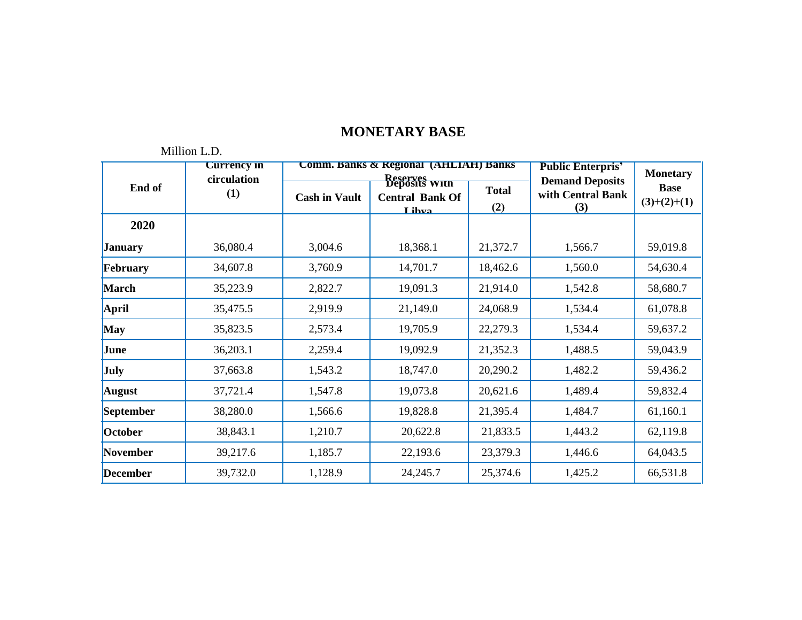|                 | <b>Currency in</b> |                      | <b>Comm. Banks &amp; Regional (AHLIAH) Banks</b>                           | <b>Public Enterpris'</b> | <b>Monetary</b>                                    |                              |
|-----------------|--------------------|----------------------|----------------------------------------------------------------------------|--------------------------|----------------------------------------------------|------------------------------|
| End of          | circulation<br>(1) | <b>Cash in Vault</b> | <b>Reserves</b><br><b>Deposits</b> With<br><b>Central Bank Of</b><br>Lihva | <b>Total</b><br>(2)      | <b>Demand Deposits</b><br>with Central Bank<br>(3) | <b>Base</b><br>$(3)+(2)+(1)$ |
| 2020            |                    |                      |                                                                            |                          |                                                    |                              |
| <b>January</b>  | 36,080.4           | 3,004.6              | 18,368.1                                                                   | 21,372.7                 | 1,566.7                                            | 59,019.8                     |
| February        | 34,607.8           | 3,760.9              | 14,701.7                                                                   | 18,462.6                 | 1,560.0                                            | 54,630.4                     |
| <b>March</b>    | 35,223.9           | 2,822.7              | 19,091.3                                                                   | 21,914.0                 | 1,542.8                                            | 58,680.7                     |
| <b>April</b>    | 35,475.5           | 2,919.9              | 21,149.0                                                                   | 24,068.9                 | 1,534.4                                            | 61,078.8                     |
| <b>May</b>      | 35,823.5           | 2,573.4              | 19,705.9                                                                   | 22,279.3                 | 1,534.4                                            | 59,637.2                     |
| June            | 36,203.1           | 2,259.4              | 19,092.9                                                                   | 21,352.3                 | 1,488.5                                            | 59,043.9                     |
| July            | 37,663.8           | 1,543.2              | 18,747.0                                                                   | 20,290.2                 | 1,482.2                                            | 59,436.2                     |
| <b>August</b>   | 37,721.4           | 1,547.8              | 19,073.8                                                                   | 20,621.6                 | 1,489.4                                            | 59,832.4                     |
| September       | 38,280.0           | 1,566.6              | 19,828.8                                                                   | 21,395.4                 | 1,484.7                                            | 61,160.1                     |
| October         | 38,843.1           | 1,210.7              | 20,622.8                                                                   | 21,833.5                 | 1,443.2                                            | 62,119.8                     |
| <b>November</b> | 39,217.6           | 1,185.7              | 22,193.6                                                                   | 23,379.3                 | 1,446.6                                            | 64,043.5                     |
| <b>December</b> | 39,732.0           | 1,128.9              | 24,245.7                                                                   | 25,374.6                 | 1,425.2                                            | 66,531.8                     |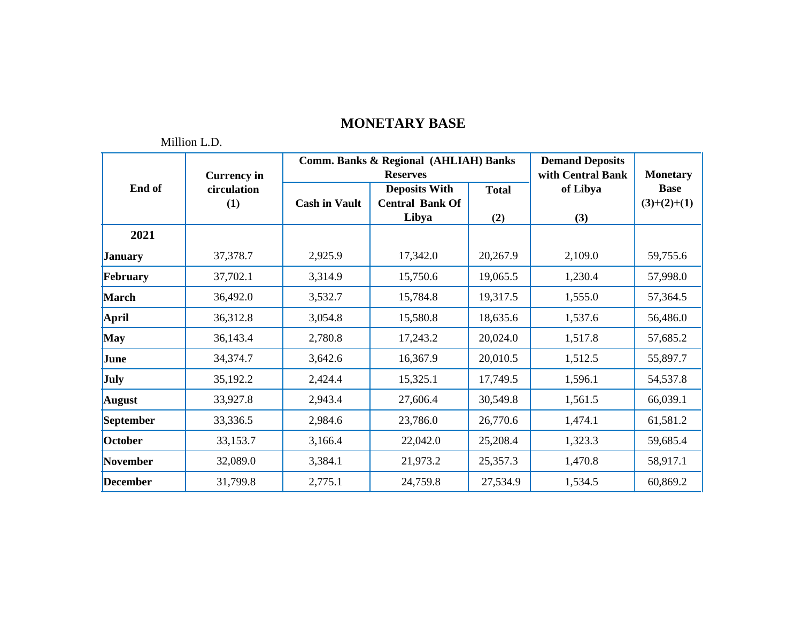**Public Enterpris'**

|                 | <b>Currency</b> in |                      | <b>Comm. Banks &amp; Regional (AHLIAH) Banks</b><br><b>Reserves</b> | <b>Demand Deposits</b><br>with Central Bank | <b>Monetary</b> |                              |
|-----------------|--------------------|----------------------|---------------------------------------------------------------------|---------------------------------------------|-----------------|------------------------------|
| End of          | circulation<br>(1) | <b>Cash in Vault</b> | <b>Deposits With</b><br><b>Central Bank Of</b>                      | <b>Total</b>                                | of Libya        | <b>Base</b><br>$(3)+(2)+(1)$ |
|                 |                    |                      | Libya                                                               | (2)                                         | (3)             |                              |
| 2021            |                    |                      |                                                                     |                                             |                 |                              |
| <b>January</b>  | 37,378.7           | 2,925.9              | 17,342.0                                                            | 20,267.9                                    | 2,109.0         | 59,755.6                     |
| February        | 37,702.1           | 3,314.9              | 15,750.6                                                            | 19,065.5                                    | 1,230.4         | 57,998.0                     |
| <b>March</b>    | 36,492.0           | 3,532.7              | 15,784.8                                                            | 19,317.5                                    | 1,555.0         | 57,364.5                     |
| April           | 36,312.8           | 3,054.8              | 15,580.8                                                            | 18,635.6                                    | 1,537.6         | 56,486.0                     |
| <b>May</b>      | 36,143.4           | 2,780.8              | 17,243.2                                                            | 20,024.0                                    | 1,517.8         | 57,685.2                     |
| June            | 34,374.7           | 3,642.6              | 16,367.9                                                            | 20,010.5                                    | 1,512.5         | 55,897.7                     |
| <b>July</b>     | 35,192.2           | 2,424.4              | 15,325.1                                                            | 17,749.5                                    | 1,596.1         | 54,537.8                     |
| <b>August</b>   | 33,927.8           | 2,943.4              | 27,606.4                                                            | 30,549.8                                    | 1,561.5         | 66,039.1                     |
| September       | 33,336.5           | 2,984.6              | 23,786.0                                                            | 26,770.6                                    | 1,474.1         | 61,581.2                     |
| October         | 33,153.7           | 3,166.4              | 22,042.0                                                            | 25,208.4                                    | 1,323.3         | 59,685.4                     |
| November        | 32,089.0           | 3,384.1              | 21,973.2                                                            | 25,357.3                                    | 1,470.8         | 58,917.1                     |
| <b>December</b> | 31,799.8           | 2,775.1              | 24,759.8                                                            | 27,534.9                                    | 1,534.5         | 60,869.2                     |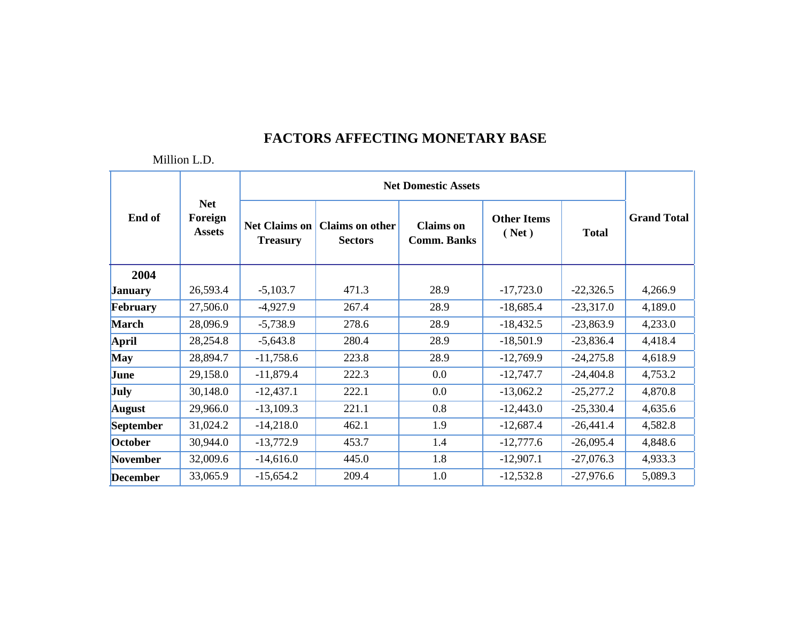|                  | <b>Net</b><br>Foreign<br><b>Assets</b> | <b>Net Domestic Assets</b>              |                                          |                                        |                             |              |                    |  |
|------------------|----------------------------------------|-----------------------------------------|------------------------------------------|----------------------------------------|-----------------------------|--------------|--------------------|--|
| End of           |                                        | <b>Net Claims on</b><br><b>Treasury</b> | <b>Claims on other</b><br><b>Sectors</b> | <b>Claims</b> on<br><b>Comm. Banks</b> | <b>Other Items</b><br>(Net) | <b>Total</b> | <b>Grand Total</b> |  |
| 2004             |                                        |                                         |                                          |                                        |                             |              |                    |  |
| <b>January</b>   | 26,593.4                               | $-5,103.7$                              | 471.3                                    | 28.9                                   | $-17,723.0$                 | $-22,326.5$  | 4,266.9            |  |
| February         | 27,506.0                               | $-4,927.9$                              | 267.4                                    | 28.9                                   | $-18,685.4$                 | $-23,317.0$  | 4,189.0            |  |
| <b>March</b>     | 28,096.9                               | $-5,738.9$                              | 278.6                                    | 28.9                                   | $-18,432.5$                 | $-23,863.9$  | 4,233.0            |  |
| <b>April</b>     | 28,254.8                               | $-5,643.8$                              | 280.4                                    | 28.9                                   | $-18,501.9$                 | $-23,836.4$  | 4,418.4            |  |
| <b>May</b>       | 28,894.7                               | $-11,758.6$                             | 223.8                                    | 28.9                                   | $-12,769.9$                 | $-24,275.8$  | 4,618.9            |  |
| June             | 29,158.0                               | $-11,879.4$                             | 222.3                                    | $0.0\,$                                | $-12,747.7$                 | $-24,404.8$  | 4,753.2            |  |
| <b>July</b>      | 30,148.0                               | $-12,437.1$                             | 222.1                                    | $0.0\,$                                | $-13,062.2$                 | $-25,277.2$  | 4,870.8            |  |
| <b>August</b>    | 29,966.0                               | $-13,109.3$                             | 221.1                                    | 0.8                                    | $-12,443.0$                 | $-25,330.4$  | 4,635.6            |  |
| <b>September</b> | 31,024.2                               | $-14,218.0$                             | 462.1                                    | 1.9                                    | $-12,687.4$                 | $-26,441.4$  | 4,582.8            |  |
| October          | 30,944.0                               | $-13,772.9$                             | 453.7                                    | 1.4                                    | $-12,777.6$                 | $-26,095.4$  | 4,848.6            |  |
| November         | 32,009.6                               | $-14,616.0$                             | 445.0                                    | 1.8                                    | $-12,907.1$                 | $-27,076.3$  | 4,933.3            |  |
| <b>December</b>  | 33,065.9                               | $-15,654.2$                             | 209.4                                    | 1.0                                    | $-12,532.8$                 | $-27,976.6$  | 5,089.3            |  |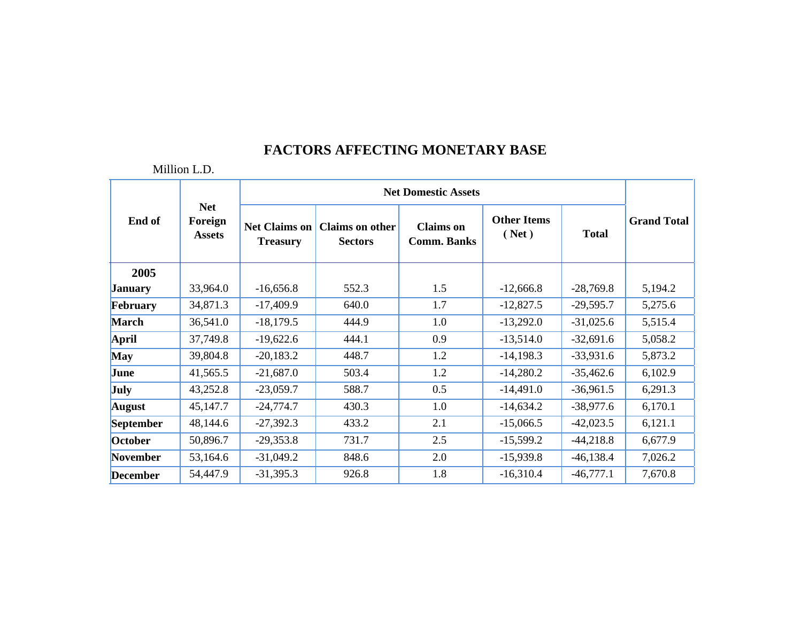|                 | <b>Net</b><br>Foreign<br><b>Assets</b> | <b>Net Domestic Assets</b>              |                                          |                                        |                             |              |                    |  |
|-----------------|----------------------------------------|-----------------------------------------|------------------------------------------|----------------------------------------|-----------------------------|--------------|--------------------|--|
| End of          |                                        | <b>Net Claims on</b><br><b>Treasury</b> | <b>Claims on other</b><br><b>Sectors</b> | <b>Claims</b> on<br><b>Comm. Banks</b> | <b>Other Items</b><br>(Net) | <b>Total</b> | <b>Grand Total</b> |  |
| 2005            |                                        |                                         |                                          |                                        |                             |              |                    |  |
| <b>January</b>  | 33,964.0                               | $-16,656.8$                             | 552.3                                    | 1.5                                    | $-12,666.8$                 | $-28,769.8$  | 5,194.2            |  |
| February        | 34,871.3                               | $-17,409.9$                             | 640.0                                    | 1.7                                    | $-12,827.5$                 | $-29,595.7$  | 5,275.6            |  |
| <b>March</b>    | 36,541.0                               | $-18,179.5$                             | 444.9                                    | 1.0                                    | $-13,292.0$                 | $-31,025.6$  | 5,515.4            |  |
| <b>April</b>    | 37,749.8                               | $-19,622.6$                             | 444.1                                    | 0.9                                    | $-13,514.0$                 | $-32,691.6$  | 5,058.2            |  |
| <b>May</b>      | 39,804.8                               | $-20,183.2$                             | 448.7                                    | 1.2                                    | $-14,198.3$                 | $-33,931.6$  | 5,873.2            |  |
| June            | 41,565.5                               | $-21,687.0$                             | 503.4                                    | 1.2                                    | $-14,280.2$                 | $-35,462.6$  | 6,102.9            |  |
| <b>July</b>     | 43,252.8                               | $-23,059.7$                             | 588.7                                    | 0.5                                    | $-14,491.0$                 | $-36,961.5$  | 6,291.3            |  |
| <b>August</b>   | 45,147.7                               | $-24,774.7$                             | 430.3                                    | 1.0                                    | $-14,634.2$                 | $-38,977.6$  | 6,170.1            |  |
| September       | 48,144.6                               | $-27,392.3$                             | 433.2                                    | 2.1                                    | $-15,066.5$                 | $-42,023.5$  | 6,121.1            |  |
| October         | 50,896.7                               | $-29,353.8$                             | 731.7                                    | 2.5                                    | $-15,599.2$                 | $-44,218.8$  | 6,677.9            |  |
| November        | 53,164.6                               | $-31,049.2$                             | 848.6                                    | 2.0                                    | $-15,939.8$                 | $-46,138.4$  | 7,026.2            |  |
| <b>December</b> | 54,447.9                               | $-31,395.3$                             | 926.8                                    | 1.8                                    | $-16,310.4$                 | $-46,777.1$  | 7,670.8            |  |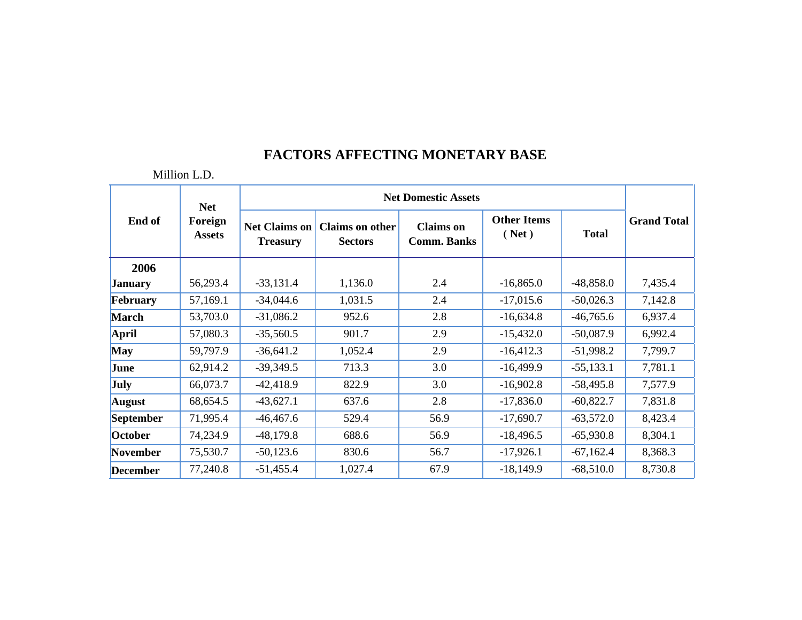|                 | <b>Net</b>               |                                         |                                          |                                        |                             |              |                    |
|-----------------|--------------------------|-----------------------------------------|------------------------------------------|----------------------------------------|-----------------------------|--------------|--------------------|
| End of          | Foreign<br><b>Assets</b> | <b>Net Claims on</b><br><b>Treasury</b> | <b>Claims on other</b><br><b>Sectors</b> | <b>Claims</b> on<br><b>Comm. Banks</b> | <b>Other Items</b><br>(Net) | <b>Total</b> | <b>Grand Total</b> |
| 2006            |                          |                                         |                                          |                                        |                             |              |                    |
| <b>January</b>  | 56,293.4                 | $-33,131.4$                             | 1,136.0                                  | 2.4                                    | $-16,865.0$                 | $-48,858.0$  | 7,435.4            |
| February        | 57,169.1                 | $-34,044.6$                             | 1,031.5                                  | 2.4                                    | $-17,015.6$                 | $-50,026.3$  | 7,142.8            |
| <b>March</b>    | 53,703.0                 | $-31,086.2$                             | 952.6                                    | 2.8                                    | $-16,634.8$                 | $-46,765.6$  | 6,937.4            |
| <b>April</b>    | 57,080.3                 | $-35,560.5$                             | 901.7                                    | 2.9                                    | $-15,432.0$                 | $-50,087.9$  | 6,992.4            |
| <b>May</b>      | 59,797.9                 | $-36,641.2$                             | 1,052.4                                  | 2.9                                    | $-16,412.3$                 | $-51,998.2$  | 7,799.7            |
| June            | 62,914.2                 | $-39,349.5$                             | 713.3                                    | 3.0                                    | $-16,499.9$                 | $-55,133.1$  | 7,781.1            |
| <b>July</b>     | 66,073.7                 | $-42,418.9$                             | 822.9                                    | 3.0                                    | $-16,902.8$                 | $-58,495.8$  | 7,577.9            |
| <b>August</b>   | 68,654.5                 | $-43,627.1$                             | 637.6                                    | 2.8                                    | $-17,836.0$                 | $-60,822.7$  | 7,831.8            |
| September       | 71,995.4                 | $-46,467.6$                             | 529.4                                    | 56.9                                   | $-17,690.7$                 | $-63,572.0$  | 8,423.4            |
| October         | 74,234.9                 | $-48,179.8$                             | 688.6                                    | 56.9                                   | $-18,496.5$                 | $-65,930.8$  | 8,304.1            |
| <b>November</b> | 75,530.7                 | $-50,123.6$                             | 830.6                                    | 56.7                                   | $-17,926.1$                 | $-67,162.4$  | 8,368.3            |
| <b>December</b> | 77,240.8                 | $-51,455.4$                             | 1,027.4                                  | 67.9                                   | $-18,149.9$                 | $-68,510.0$  | 8,730.8            |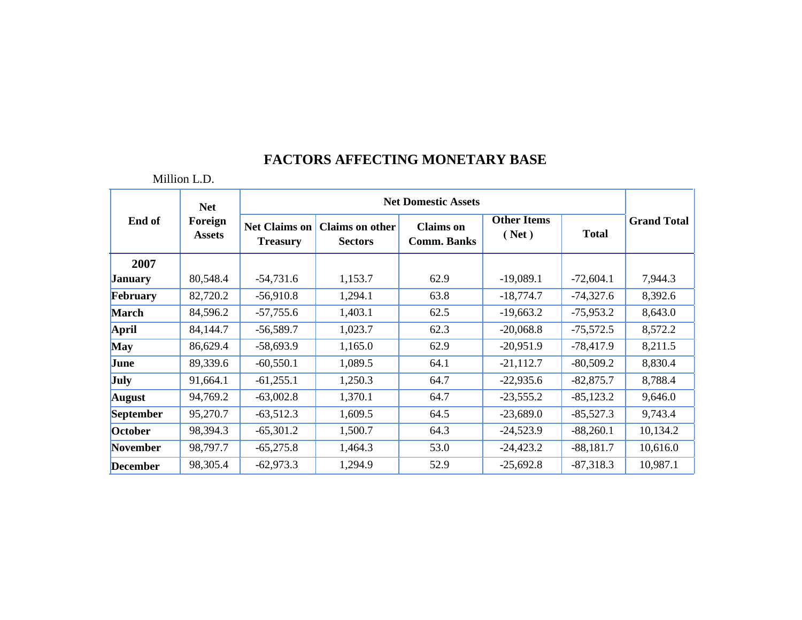|                 | <b>Net</b><br>Foreign<br><b>Assets</b> | <b>Net Domestic Assets</b>              |                                          |                                        |                             |              |                    |  |
|-----------------|----------------------------------------|-----------------------------------------|------------------------------------------|----------------------------------------|-----------------------------|--------------|--------------------|--|
| End of          |                                        | <b>Net Claims on</b><br><b>Treasury</b> | <b>Claims on other</b><br><b>Sectors</b> | <b>Claims</b> on<br><b>Comm. Banks</b> | <b>Other Items</b><br>(Net) | <b>Total</b> | <b>Grand Total</b> |  |
| 2007            |                                        |                                         |                                          |                                        |                             |              |                    |  |
| <b>January</b>  | 80,548.4                               | $-54,731.6$                             | 1,153.7                                  | 62.9                                   | $-19,089.1$                 | $-72,604.1$  | 7,944.3            |  |
| February        | 82,720.2                               | $-56,910.8$                             | 1,294.1                                  | 63.8                                   | $-18,774.7$                 | $-74,327.6$  | 8,392.6            |  |
| <b>March</b>    | 84,596.2                               | $-57,755.6$                             | 1,403.1                                  | 62.5                                   | $-19,663.2$                 | $-75,953.2$  | 8,643.0            |  |
| April           | 84,144.7                               | $-56,589.7$                             | 1,023.7                                  | 62.3                                   | $-20,068.8$                 | $-75,572.5$  | 8,572.2            |  |
| <b>May</b>      | 86,629.4                               | $-58,693.9$                             | 1,165.0                                  | 62.9                                   | $-20,951.9$                 | $-78,417.9$  | 8,211.5            |  |
| June            | 89,339.6                               | $-60,550.1$                             | 1,089.5                                  | 64.1                                   | $-21,112.7$                 | $-80,509.2$  | 8,830.4            |  |
| July            | 91,664.1                               | $-61,255.1$                             | 1,250.3                                  | 64.7                                   | $-22,935.6$                 | $-82,875.7$  | 8,788.4            |  |
| <b>August</b>   | 94,769.2                               | $-63,002.8$                             | 1,370.1                                  | 64.7                                   | $-23,555.2$                 | $-85,123.2$  | 9,646.0            |  |
| September       | 95,270.7                               | $-63,512.3$                             | 1,609.5                                  | 64.5                                   | $-23,689.0$                 | $-85,527.3$  | 9,743.4            |  |
| October         | 98,394.3                               | $-65,301.2$                             | 1,500.7                                  | 64.3                                   | $-24,523.9$                 | $-88,260.1$  | 10,134.2           |  |
| November        | 98,797.7                               | $-65,275.8$                             | 1,464.3                                  | 53.0                                   | $-24,423.2$                 | $-88,181.7$  | 10,616.0           |  |
| <b>December</b> | 98,305.4                               | $-62,973.3$                             | 1,294.9                                  | 52.9                                   | $-25,692.8$                 | $-87,318.3$  | 10,987.1           |  |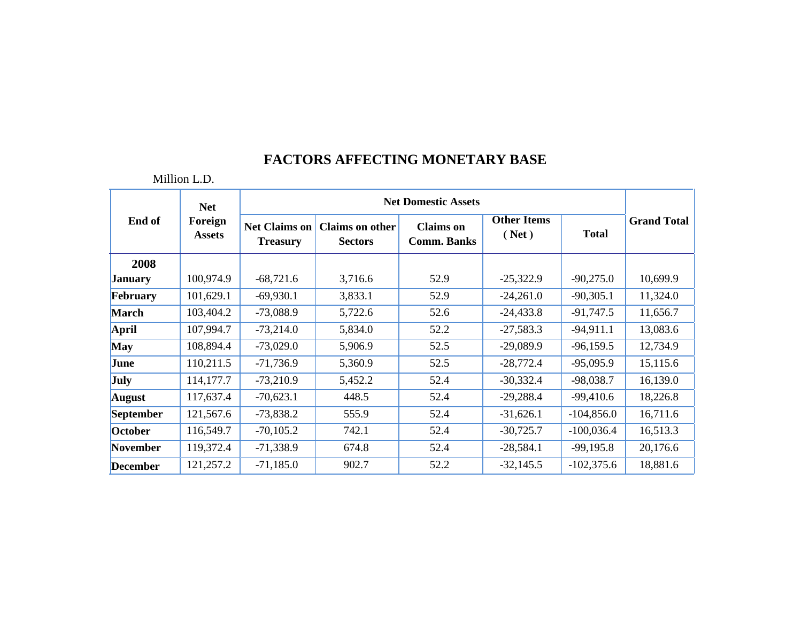|                 | <b>Net</b><br>Foreign<br><b>Assets</b> | <b>Net Domestic Assets</b>              |                                          |                                        |                             |              |                    |  |
|-----------------|----------------------------------------|-----------------------------------------|------------------------------------------|----------------------------------------|-----------------------------|--------------|--------------------|--|
| End of          |                                        | <b>Net Claims on</b><br><b>Treasury</b> | <b>Claims on other</b><br><b>Sectors</b> | <b>Claims</b> on<br><b>Comm. Banks</b> | <b>Other Items</b><br>(Net) | <b>Total</b> | <b>Grand Total</b> |  |
| 2008            |                                        |                                         |                                          |                                        |                             |              |                    |  |
| <b>January</b>  | 100,974.9                              | $-68,721.6$                             | 3,716.6                                  | 52.9                                   | $-25,322.9$                 | $-90,275.0$  | 10,699.9           |  |
| February        | 101,629.1                              | $-69,930.1$                             | 3,833.1                                  | 52.9                                   | $-24,261.0$                 | $-90,305.1$  | 11,324.0           |  |
| <b>March</b>    | 103,404.2                              | $-73,088.9$                             | 5,722.6                                  | 52.6                                   | $-24,433.8$                 | $-91,747.5$  | 11,656.7           |  |
| April           | 107,994.7                              | $-73,214.0$                             | 5,834.0                                  | 52.2                                   | $-27,583.3$                 | $-94,911.1$  | 13,083.6           |  |
| <b>May</b>      | 108,894.4                              | $-73,029.0$                             | 5,906.9                                  | 52.5                                   | $-29,089.9$                 | $-96,159.5$  | 12,734.9           |  |
| June            | 110,211.5                              | $-71,736.9$                             | 5,360.9                                  | 52.5                                   | $-28,772.4$                 | $-95,095.9$  | 15,115.6           |  |
| July            | 114,177.7                              | $-73,210.9$                             | 5,452.2                                  | 52.4                                   | $-30,332.4$                 | $-98,038.7$  | 16,139.0           |  |
| <b>August</b>   | 117,637.4                              | $-70,623.1$                             | 448.5                                    | 52.4                                   | $-29,288.4$                 | $-99,410.6$  | 18,226.8           |  |
| September       | 121,567.6                              | $-73,838.2$                             | 555.9                                    | 52.4                                   | $-31,626.1$                 | $-104,856.0$ | 16,711.6           |  |
| October         | 116,549.7                              | $-70,105.2$                             | 742.1                                    | 52.4                                   | $-30,725.7$                 | $-100,036.4$ | 16,513.3           |  |
| November        | 119,372.4                              | $-71,338.9$                             | 674.8                                    | 52.4                                   | $-28,584.1$                 | $-99,195.8$  | 20,176.6           |  |
| <b>December</b> | 121,257.2                              | $-71,185.0$                             | 902.7                                    | 52.2                                   | $-32,145.5$                 | $-102,375.6$ | 18,881.6           |  |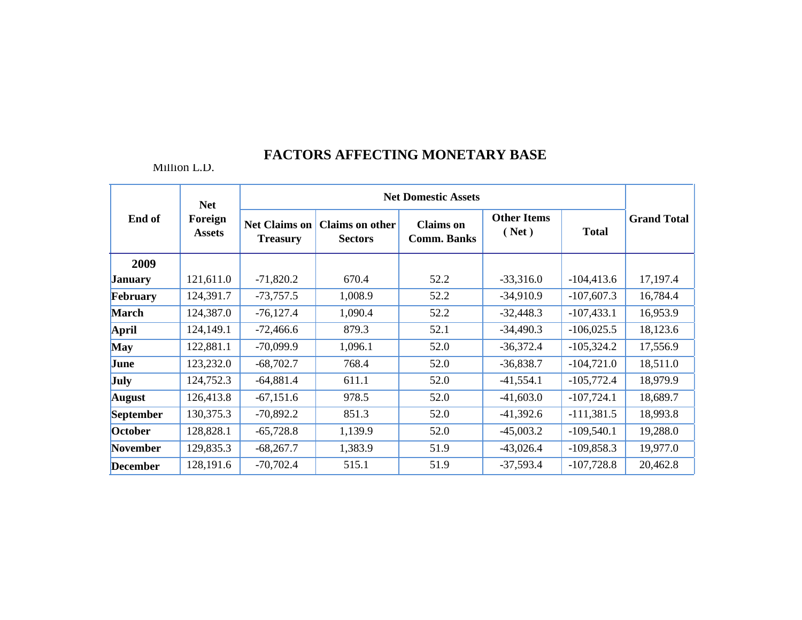|                  | <b>Net</b><br>Foreign<br><b>Assets</b> | <b>Net Domestic Assets</b>              |                                          |                                        |                             |              |                    |  |
|------------------|----------------------------------------|-----------------------------------------|------------------------------------------|----------------------------------------|-----------------------------|--------------|--------------------|--|
| End of           |                                        | <b>Net Claims on</b><br><b>Treasury</b> | <b>Claims on other</b><br><b>Sectors</b> | <b>Claims</b> on<br><b>Comm. Banks</b> | <b>Other Items</b><br>(Net) | <b>Total</b> | <b>Grand Total</b> |  |
| 2009             |                                        |                                         |                                          |                                        |                             |              |                    |  |
| <b>January</b>   | 121,611.0                              | $-71,820.2$                             | 670.4                                    | 52.2                                   | $-33,316.0$                 | $-104,413.6$ | 17,197.4           |  |
| February         | 124,391.7                              | $-73,757.5$                             | 1,008.9                                  | 52.2                                   | $-34,910.9$                 | $-107,607.3$ | 16,784.4           |  |
| <b>March</b>     | 124,387.0                              | $-76,127.4$                             | 1,090.4                                  | 52.2                                   | $-32,448.3$                 | $-107,433.1$ | 16,953.9           |  |
| <b>April</b>     | 124,149.1                              | $-72,466.6$                             | 879.3                                    | 52.1                                   | $-34,490.3$                 | $-106,025.5$ | 18,123.6           |  |
| <b>May</b>       | 122,881.1                              | $-70,099.9$                             | 1,096.1                                  | 52.0                                   | $-36,372.4$                 | $-105,324.2$ | 17,556.9           |  |
| June             | 123,232.0                              | $-68,702.7$                             | 768.4                                    | 52.0                                   | $-36,838.7$                 | $-104,721.0$ | 18,511.0           |  |
| <b>July</b>      | 124,752.3                              | $-64,881.4$                             | 611.1                                    | 52.0                                   | $-41,554.1$                 | $-105,772.4$ | 18,979.9           |  |
| <b>August</b>    | 126,413.8                              | $-67,151.6$                             | 978.5                                    | 52.0                                   | $-41,603.0$                 | $-107,724.1$ | 18,689.7           |  |
| <b>September</b> | 130,375.3                              | $-70,892.2$                             | 851.3                                    | 52.0                                   | $-41,392.6$                 | $-111,381.5$ | 18,993.8           |  |
| October          | 128,828.1                              | $-65,728.8$                             | 1,139.9                                  | 52.0                                   | $-45,003.2$                 | $-109,540.1$ | 19,288.0           |  |
| <b>November</b>  | 129,835.3                              | $-68,267.7$                             | 1,383.9                                  | 51.9                                   | $-43,026.4$                 | $-109,858.3$ | 19,977.0           |  |
| <b>December</b>  | 128,191.6                              | $-70,702.4$                             | 515.1                                    | 51.9                                   | $-37,593.4$                 | $-107,728.8$ | 20,462.8           |  |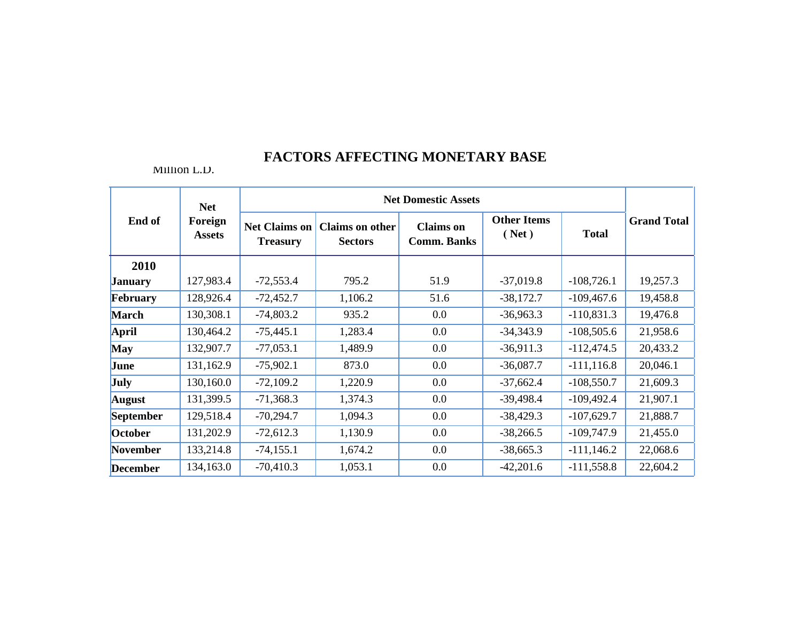| End of           | <b>Net</b>               | <b>Net Domestic Assets</b>              |                                          |                                        |                             |               |                    |  |
|------------------|--------------------------|-----------------------------------------|------------------------------------------|----------------------------------------|-----------------------------|---------------|--------------------|--|
|                  | Foreign<br><b>Assets</b> | <b>Net Claims on</b><br><b>Treasury</b> | <b>Claims on other</b><br><b>Sectors</b> | <b>Claims</b> on<br><b>Comm. Banks</b> | <b>Other Items</b><br>(Net) | <b>Total</b>  | <b>Grand Total</b> |  |
| 2010             |                          |                                         |                                          |                                        |                             |               |                    |  |
| <b>January</b>   | 127,983.4                | $-72,553.4$                             | 795.2                                    | 51.9                                   | $-37,019.8$                 | $-108,726.1$  | 19,257.3           |  |
| February         | 128,926.4                | $-72,452.7$                             | 1,106.2                                  | 51.6                                   | $-38,172.7$                 | $-109,467.6$  | 19,458.8           |  |
| <b>March</b>     | 130,308.1                | $-74,803.2$                             | 935.2                                    | 0.0                                    | $-36,963.3$                 | $-110,831.3$  | 19,476.8           |  |
| April            | 130,464.2                | $-75,445.1$                             | 1,283.4                                  | 0.0                                    | $-34,343.9$                 | $-108,505.6$  | 21,958.6           |  |
| <b>May</b>       | 132,907.7                | $-77,053.1$                             | 1,489.9                                  | 0.0                                    | $-36,911.3$                 | $-112,474.5$  | 20,433.2           |  |
| June             | 131,162.9                | $-75,902.1$                             | 873.0                                    | 0.0                                    | $-36,087.7$                 | $-111, 116.8$ | 20,046.1           |  |
| <b>July</b>      | 130,160.0                | $-72,109.2$                             | 1,220.9                                  | $0.0\,$                                | $-37,662.4$                 | $-108,550.7$  | 21,609.3           |  |
| <b>August</b>    | 131,399.5                | $-71,368.3$                             | 1,374.3                                  | 0.0                                    | $-39,498.4$                 | $-109,492.4$  | 21,907.1           |  |
| <b>September</b> | 129,518.4                | $-70,294.7$                             | 1,094.3                                  | 0.0                                    | $-38,429.3$                 | $-107,629.7$  | 21,888.7           |  |
| October          | 131,202.9                | $-72,612.3$                             | 1,130.9                                  | 0.0                                    | $-38,266.5$                 | $-109,747.9$  | 21,455.0           |  |
| November         | 133,214.8                | $-74, 155.1$                            | 1,674.2                                  | 0.0                                    | $-38,665.3$                 | $-111,146.2$  | 22,068.6           |  |
| <b>December</b>  | 134,163.0                | $-70,410.3$                             | 1,053.1                                  | 0.0                                    | $-42,201.6$                 | $-111,558.8$  | 22,604.2           |  |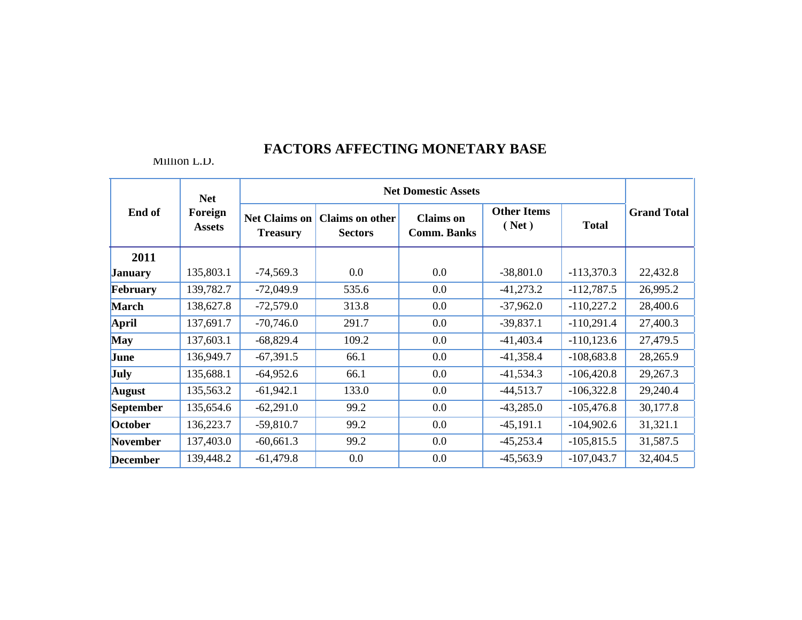|                  | <b>Net</b>               | <b>Net Domestic Assets</b>              |                                          |                                        |                             |               |                    |  |
|------------------|--------------------------|-----------------------------------------|------------------------------------------|----------------------------------------|-----------------------------|---------------|--------------------|--|
| End of           | Foreign<br><b>Assets</b> | <b>Net Claims on</b><br><b>Treasury</b> | <b>Claims on other</b><br><b>Sectors</b> | <b>Claims</b> on<br><b>Comm. Banks</b> | <b>Other Items</b><br>(Net) | <b>Total</b>  | <b>Grand Total</b> |  |
| 2011             |                          |                                         |                                          |                                        |                             |               |                    |  |
| <b>January</b>   | 135,803.1                | $-74,569.3$                             | 0.0                                      | 0.0                                    | $-38,801.0$                 | $-113,370.3$  | 22,432.8           |  |
| February         | 139,782.7                | $-72,049.9$                             | 535.6                                    | 0.0                                    | $-41,273.2$                 | $-112,787.5$  | 26,995.2           |  |
| <b>March</b>     | 138,627.8                | $-72,579.0$                             | 313.8                                    | 0.0                                    | $-37,962.0$                 | $-110,227.2$  | 28,400.6           |  |
| <b>April</b>     | 137,691.7                | $-70,746.0$                             | 291.7                                    | 0.0                                    | $-39,837.1$                 | $-110,291.4$  | 27,400.3           |  |
| <b>May</b>       | 137,603.1                | $-68,829.4$                             | 109.2                                    | 0.0                                    | $-41,403.4$                 | $-110, 123.6$ | 27,479.5           |  |
| June             | 136,949.7                | $-67,391.5$                             | 66.1                                     | 0.0                                    | $-41,358.4$                 | $-108,683.8$  | 28,265.9           |  |
| <b>July</b>      | 135,688.1                | $-64,952.6$                             | 66.1                                     | $0.0\,$                                | $-41,534.3$                 | $-106,420.8$  | 29,267.3           |  |
| <b>August</b>    | 135,563.2                | $-61,942.1$                             | 133.0                                    | 0.0                                    | $-44,513.7$                 | $-106,322.8$  | 29,240.4           |  |
| <b>September</b> | 135,654.6                | $-62,291.0$                             | 99.2                                     | 0.0                                    | $-43,285.0$                 | $-105,476.8$  | 30,177.8           |  |
| October          | 136,223.7                | $-59,810.7$                             | 99.2                                     | 0.0                                    | $-45,191.1$                 | $-104,902.6$  | 31,321.1           |  |
| November         | 137,403.0                | $-60,661.3$                             | 99.2                                     | 0.0                                    | $-45,253.4$                 | $-105,815.5$  | 31,587.5           |  |
| <b>December</b>  | 139,448.2                | $-61,479.8$                             | 0.0                                      | 0.0                                    | $-45,563.9$                 | $-107,043.7$  | 32,404.5           |  |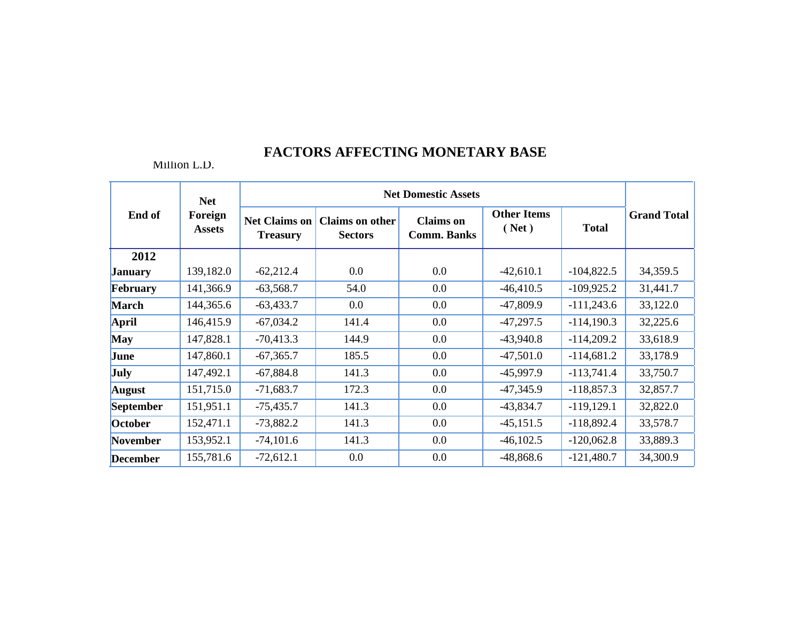|                  | <b>Net</b>               | <b>Net Domestic Assets</b>              |                                          |                                        |                             |               |                    |  |
|------------------|--------------------------|-----------------------------------------|------------------------------------------|----------------------------------------|-----------------------------|---------------|--------------------|--|
| End of           | Foreign<br><b>Assets</b> | <b>Net Claims on</b><br><b>Treasury</b> | <b>Claims</b> on other<br><b>Sectors</b> | <b>Claims</b> on<br><b>Comm. Banks</b> | <b>Other Items</b><br>(Net) | <b>Total</b>  | <b>Grand Total</b> |  |
| 2012             |                          |                                         |                                          |                                        |                             |               |                    |  |
| <b>January</b>   | 139,182.0                | $-62,212.4$                             | 0.0                                      | 0.0                                    | $-42,610.1$                 | $-104,822.5$  | 34,359.5           |  |
| February         | 141,366.9                | $-63,568.7$                             | 54.0                                     | 0.0                                    | $-46,410.5$                 | $-109,925.2$  | 31,441.7           |  |
| <b>March</b>     | 144,365.6                | $-63,433.7$                             | 0.0                                      | 0.0                                    | $-47,809.9$                 | $-111,243.6$  | 33,122.0           |  |
| <b>April</b>     | 146,415.9                | $-67,034.2$                             | 141.4                                    | $0.0\,$                                | $-47,297.5$                 | $-114,190.3$  | 32,225.6           |  |
| <b>May</b>       | 147,828.1                | $-70,413.3$                             | 144.9                                    | 0.0                                    | $-43,940.8$                 | $-114,209.2$  | 33,618.9           |  |
| June             | 147,860.1                | $-67,365.7$                             | 185.5                                    | 0.0                                    | $-47,501.0$                 | $-114,681.2$  | 33,178.9           |  |
| <b>July</b>      | 147,492.1                | $-67,884.8$                             | 141.3                                    | 0.0                                    | $-45,997.9$                 | $-113,741.4$  | 33,750.7           |  |
| <b>August</b>    | 151,715.0                | $-71,683.7$                             | 172.3                                    | $0.0\,$                                | $-47,345.9$                 | $-118,857.3$  | 32,857.7           |  |
| <b>September</b> | 151,951.1                | $-75,435.7$                             | 141.3                                    | 0.0                                    | $-43,834.7$                 | $-119, 129.1$ | 32,822.0           |  |
| October          | 152,471.1                | $-73,882.2$                             | 141.3                                    | 0.0                                    | $-45,151.5$                 | $-118,892.4$  | 33,578.7           |  |
| <b>November</b>  | 153,952.1                | $-74,101.6$                             | 141.3                                    | $0.0\,$                                | $-46,102.5$                 | $-120,062.8$  | 33,889.3           |  |
| <b>December</b>  | 155,781.6                | $-72,612.1$                             | 0.0                                      | 0.0                                    | $-48,868.6$                 | $-121,480.7$  | 34,300.9           |  |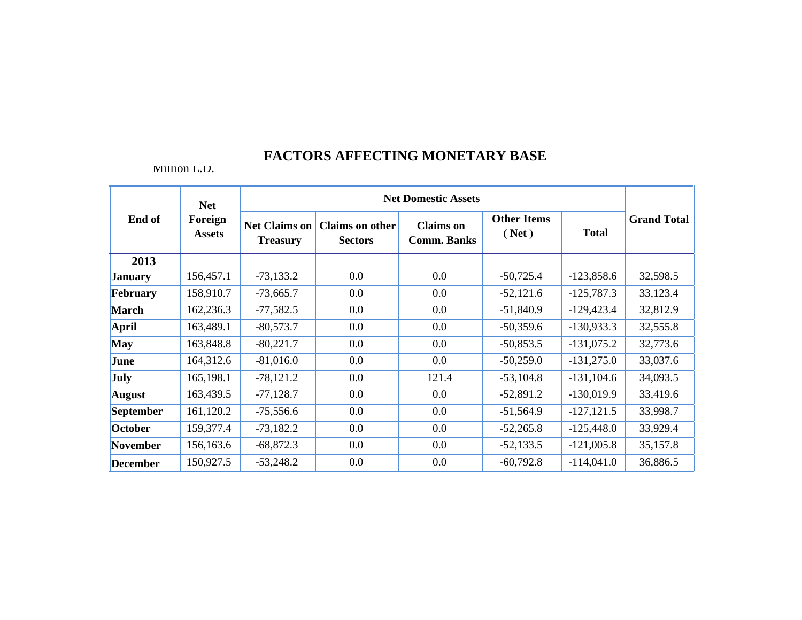|                  | <b>Net</b>               | <b>Net Domestic Assets</b>              |                                          |                                        |                             |               |                    |  |
|------------------|--------------------------|-----------------------------------------|------------------------------------------|----------------------------------------|-----------------------------|---------------|--------------------|--|
| End of           | Foreign<br><b>Assets</b> | <b>Net Claims on</b><br><b>Treasury</b> | <b>Claims on other</b><br><b>Sectors</b> | <b>Claims</b> on<br><b>Comm. Banks</b> | <b>Other Items</b><br>(Net) | <b>Total</b>  | <b>Grand Total</b> |  |
| 2013             |                          |                                         |                                          |                                        |                             |               |                    |  |
| <b>January</b>   | 156,457.1                | $-73,133.2$                             | $0.0\,$                                  | $0.0\,$                                | $-50,725.4$                 | $-123,858.6$  | 32,598.5           |  |
| February         | 158,910.7                | $-73,665.7$                             | 0.0                                      | $0.0\,$                                | $-52,121.6$                 | $-125,787.3$  | 33,123.4           |  |
| <b>March</b>     | 162,236.3                | $-77,582.5$                             | 0.0                                      | $0.0\,$                                | $-51,840.9$                 | $-129,423.4$  | 32,812.9           |  |
| April            | 163,489.1                | $-80,573.7$                             | 0.0                                      | $0.0\,$                                | $-50,359.6$                 | $-130,933.3$  | 32,555.8           |  |
| <b>May</b>       | 163,848.8                | $-80,221.7$                             | 0.0                                      | 0.0                                    | $-50,853.5$                 | $-131,075.2$  | 32,773.6           |  |
| June             | 164,312.6                | $-81,016.0$                             | $0.0\,$                                  | 0.0                                    | $-50,259.0$                 | $-131,275.0$  | 33,037.6           |  |
| <b>July</b>      | 165,198.1                | $-78,121.2$                             | 0.0                                      | 121.4                                  | $-53,104.8$                 | $-131, 104.6$ | 34,093.5           |  |
| <b>August</b>    | 163,439.5                | $-77,128.7$                             | 0.0                                      | $0.0\,$                                | $-52,891.2$                 | $-130,019.9$  | 33,419.6           |  |
| <b>September</b> | 161,120.2                | $-75,556.6$                             | 0.0                                      | $0.0\,$                                | $-51,564.9$                 | $-127, 121.5$ | 33,998.7           |  |
| October          | 159,377.4                | $-73,182.2$                             | 0.0                                      | $0.0\,$                                | $-52,265.8$                 | $-125,448.0$  | 33,929.4           |  |
| November         | 156,163.6                | $-68,872.3$                             | 0.0                                      | $0.0\,$                                | $-52,133.5$                 | $-121,005.8$  | 35,157.8           |  |
| <b>December</b>  | 150,927.5                | $-53,248.2$                             | 0.0                                      | 0.0                                    | $-60,792.8$                 | $-114,041.0$  | 36,886.5           |  |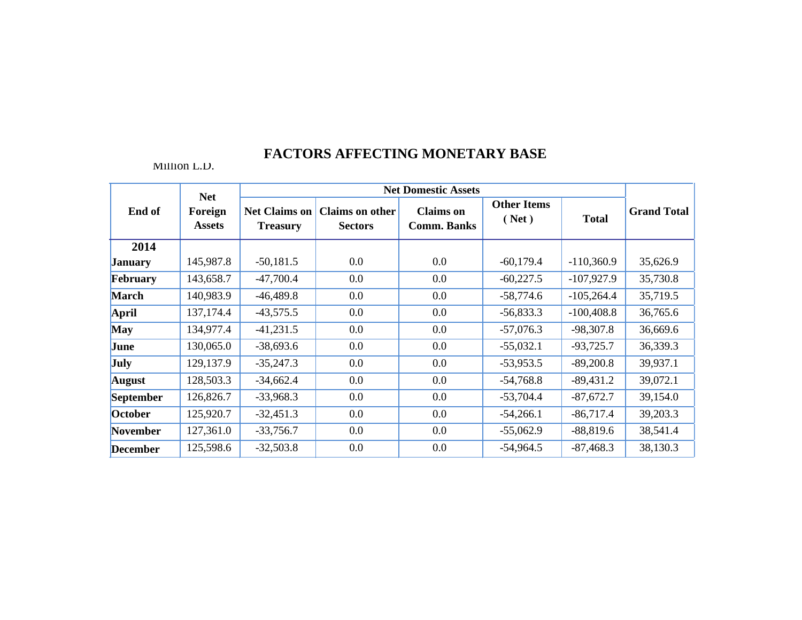|                  | <b>Net</b>               | <b>Net Domestic Assets</b>              |                                   |                                        |                             |              |                    |
|------------------|--------------------------|-----------------------------------------|-----------------------------------|----------------------------------------|-----------------------------|--------------|--------------------|
| End of           | Foreign<br><b>Assets</b> | <b>Net Claims on</b><br><b>Treasury</b> | Claims on other<br><b>Sectors</b> | <b>Claims</b> on<br><b>Comm. Banks</b> | <b>Other Items</b><br>(Net) | <b>Total</b> | <b>Grand Total</b> |
| 2014             |                          |                                         |                                   |                                        |                             |              |                    |
| <b>January</b>   | 145,987.8                | $-50,181.5$                             | 0.0                               | 0.0                                    | $-60,179.4$                 | $-110,360.9$ | 35,626.9           |
| <b>February</b>  | 143,658.7                | $-47,700.4$                             | 0.0                               | 0.0                                    | $-60,227.5$                 | $-107,927.9$ | 35,730.8           |
| <b>March</b>     | 140,983.9                | $-46,489.8$                             | 0.0                               | 0.0                                    | $-58,774.6$                 | $-105,264.4$ | 35,719.5           |
| April            | 137, 174. 4              | $-43,575.5$                             | 0.0                               | 0.0                                    | $-56,833.3$                 | $-100,408.8$ | 36,765.6           |
| <b>May</b>       | 134,977.4                | $-41,231.5$                             | 0.0                               | 0.0                                    | $-57,076.3$                 | $-98,307.8$  | 36,669.6           |
| June             | 130,065.0                | $-38,693.6$                             | 0.0                               | 0.0                                    | $-55,032.1$                 | $-93,725.7$  | 36,339.3           |
| July             | 129,137.9                | $-35,247.3$                             | 0.0                               | 0.0                                    | $-53,953.5$                 | $-89,200.8$  | 39,937.1           |
| August           | 128,503.3                | $-34,662.4$                             | 0.0                               | 0.0                                    | $-54,768.8$                 | $-89,431.2$  | 39,072.1           |
| <b>September</b> | 126,826.7                | $-33,968.3$                             | 0.0                               | 0.0                                    | $-53,704.4$                 | $-87,672.7$  | 39,154.0           |
| <b>October</b>   | 125,920.7                | $-32,451.3$                             | 0.0                               | 0.0                                    | $-54,266.1$                 | $-86,717.4$  | 39,203.3           |
| <b>November</b>  | 127,361.0                | $-33,756.7$                             | 0.0                               | 0.0                                    | $-55,062.9$                 | $-88,819.6$  | 38,541.4           |
| <b>December</b>  | 125,598.6                | $-32,503.8$                             | 0.0                               | 0.0                                    | $-54,964.5$                 | $-87,468.3$  | 38,130.3           |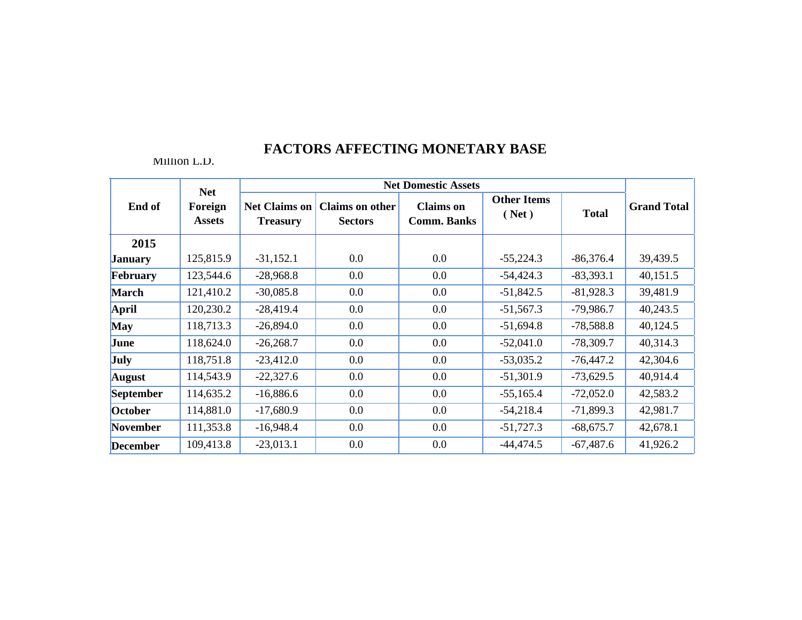|                 | <b>Net</b>               |                                         |                                          | <b>Net Domestic Assets</b>             |                             |              |                    |
|-----------------|--------------------------|-----------------------------------------|------------------------------------------|----------------------------------------|-----------------------------|--------------|--------------------|
| End of          | Foreign<br><b>Assets</b> | <b>Net Claims on</b><br><b>Treasury</b> | <b>Claims on other</b><br><b>Sectors</b> | <b>Claims</b> on<br><b>Comm. Banks</b> | <b>Other Items</b><br>(Net) | <b>Total</b> | <b>Grand Total</b> |
| 2015            |                          |                                         |                                          |                                        |                             |              |                    |
| <b>January</b>  | 125,815.9                | $-31,152.1$                             | 0.0                                      | 0.0                                    | $-55,224.3$                 | $-86,376.4$  | 39,439.5           |
| February        | 123,544.6                | $-28,968.8$                             | 0.0                                      | 0.0                                    | $-54,424.3$                 | $-83,393.1$  | 40,151.5           |
| <b>March</b>    | 121,410.2                | $-30,085.8$                             | $0.0\,$                                  | 0.0                                    | $-51,842.5$                 | $-81,928.3$  | 39,481.9           |
| <b>April</b>    | 120,230.2                | $-28,419.4$                             | 0.0                                      | 0.0                                    | $-51,567.3$                 | $-79,986.7$  | 40,243.5           |
| <b>May</b>      | 118,713.3                | $-26,894.0$                             | 0.0                                      | 0.0                                    | $-51,694.8$                 | $-78,588.8$  | 40,124.5           |
| June            | 118,624.0                | $-26,268.7$                             | 0.0                                      | 0.0                                    | $-52,041.0$                 | $-78,309.7$  | 40,314.3           |
| <b>July</b>     | 118,751.8                | $-23,412.0$                             | 0.0                                      | 0.0                                    | $-53,035.2$                 | $-76,447.2$  | 42,304.6           |
| <b>August</b>   | 114,543.9                | $-22,327.6$                             | 0.0                                      | 0.0                                    | $-51,301.9$                 | $-73,629.5$  | 40,914.4           |
| September       | 114,635.2                | $-16,886.6$                             | $0.0\,$                                  | $0.0\,$                                | $-55,165.4$                 | $-72,052.0$  | 42,583.2           |
| October         | 114,881.0                | $-17,680.9$                             | $0.0\,$                                  | 0.0                                    | $-54,218.4$                 | $-71,899.3$  | 42,981.7           |
| November        | 111,353.8                | $-16,948.4$                             | 0.0                                      | 0.0                                    | $-51,727.3$                 | $-68,675.7$  | 42,678.1           |
| <b>December</b> | 109,413.8                | $-23,013.1$                             | 0.0                                      | 0.0                                    | $-44,474.5$                 | $-67,487.6$  | 41,926.2           |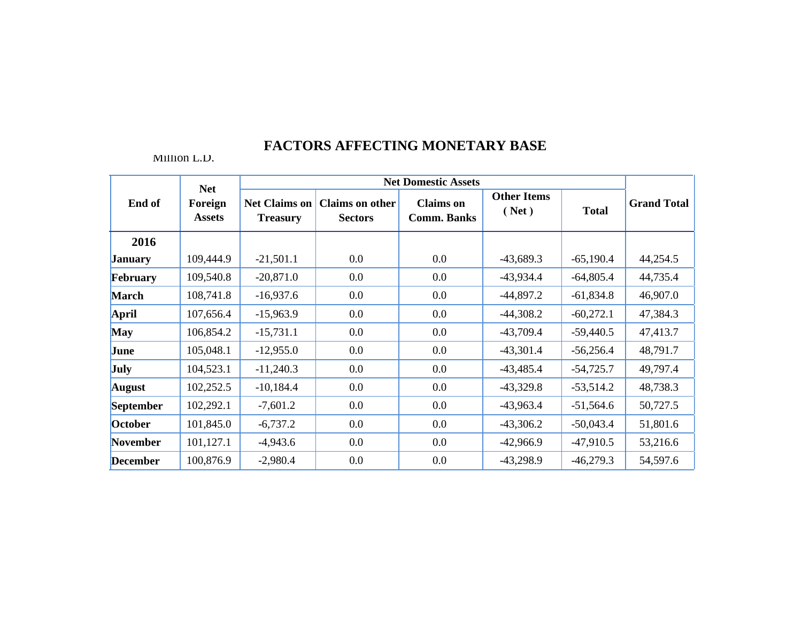|                 | <b>Net</b>               | <b>Net Domestic Assets</b>              |                                          |                                        |                             |              |                    |  |
|-----------------|--------------------------|-----------------------------------------|------------------------------------------|----------------------------------------|-----------------------------|--------------|--------------------|--|
| End of          | Foreign<br><b>Assets</b> | <b>Net Claims on</b><br><b>Treasury</b> | <b>Claims on other</b><br><b>Sectors</b> | <b>Claims</b> on<br><b>Comm. Banks</b> | <b>Other Items</b><br>(Net) | <b>Total</b> | <b>Grand Total</b> |  |
| 2016            |                          |                                         |                                          |                                        |                             |              |                    |  |
| <b>January</b>  | 109,444.9                | $-21,501.1$                             | 0.0                                      | 0.0                                    | $-43,689.3$                 | $-65,190.4$  | 44,254.5           |  |
| February        | 109,540.8                | $-20,871.0$                             | 0.0                                      | $0.0\,$                                | $-43,934.4$                 | $-64,805.4$  | 44,735.4           |  |
| <b>March</b>    | 108,741.8                | $-16,937.6$                             | 0.0                                      | $0.0\,$                                | $-44,897.2$                 | $-61,834.8$  | 46,907.0           |  |
| <b>April</b>    | 107,656.4                | $-15,963.9$                             | 0.0                                      | 0.0                                    | $-44,308.2$                 | $-60,272.1$  | 47,384.3           |  |
| <b>May</b>      | 106,854.2                | $-15,731.1$                             | 0.0                                      | $0.0\,$                                | $-43,709.4$                 | $-59,440.5$  | 47,413.7           |  |
| June            | 105,048.1                | $-12,955.0$                             | 0.0                                      | $0.0\,$                                | $-43,301.4$                 | $-56,256.4$  | 48,791.7           |  |
| <b>July</b>     | 104,523.1                | $-11,240.3$                             | 0.0                                      | $0.0\,$                                | $-43,485.4$                 | $-54,725.7$  | 49,797.4           |  |
| <b>August</b>   | 102,252.5                | $-10,184.4$                             | 0.0                                      | $0.0\,$                                | $-43,329.8$                 | $-53,514.2$  | 48,738.3           |  |
| September       | 102,292.1                | $-7,601.2$                              | 0.0                                      | $0.0\,$                                | $-43,963.4$                 | $-51,564.6$  | 50,727.5           |  |
| October         | 101,845.0                | $-6,737.2$                              | 0.0                                      | $0.0\,$                                | $-43,306.2$                 | $-50,043.4$  | 51,801.6           |  |
| November        | 101,127.1                | $-4,943.6$                              | 0.0                                      | $0.0\,$                                | $-42,966.9$                 | $-47,910.5$  | 53,216.6           |  |
| <b>December</b> | 100,876.9                | $-2,980.4$                              | 0.0                                      | 0.0                                    | $-43,298.9$                 | $-46,279.3$  | 54,597.6           |  |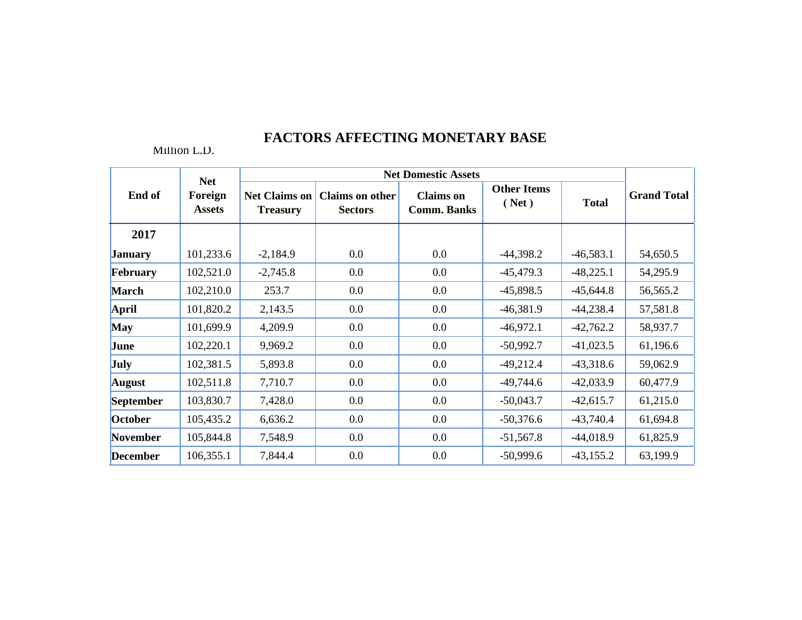|                  | <b>Net</b>               |                                         |                                          | <b>Net Domestic Assets</b>             |                             |              |                    |
|------------------|--------------------------|-----------------------------------------|------------------------------------------|----------------------------------------|-----------------------------|--------------|--------------------|
| End of           | Foreign<br><b>Assets</b> | <b>Net Claims on</b><br><b>Treasury</b> | <b>Claims on other</b><br><b>Sectors</b> | <b>Claims</b> on<br><b>Comm. Banks</b> | <b>Other Items</b><br>(Net) | <b>Total</b> | <b>Grand Total</b> |
| 2017             |                          |                                         |                                          |                                        |                             |              |                    |
| <b>January</b>   | 101,233.6                | $-2,184.9$                              | 0.0                                      | $0.0\,$                                | $-44,398.2$                 | $-46,583.1$  | 54,650.5           |
| February         | 102,521.0                | $-2,745.8$                              | 0.0                                      | $0.0\,$                                | $-45,479.3$                 | $-48,225.1$  | 54,295.9           |
| <b>March</b>     | 102,210.0                | 253.7                                   | 0.0                                      | $0.0\,$                                | $-45,898.5$                 | $-45,644.8$  | 56,565.2           |
| April            | 101,820.2                | 2,143.5                                 | $0.0\,$                                  | $0.0\,$                                | $-46,381.9$                 | $-44,238.4$  | 57,581.8           |
| <b>May</b>       | 101,699.9                | 4,209.9                                 | 0.0                                      | $0.0\,$                                | $-46,972.1$                 | $-42,762.2$  | 58,937.7           |
| June             | 102,220.1                | 9,969.2                                 | 0.0                                      | $0.0\,$                                | $-50,992.7$                 | $-41,023.5$  | 61,196.6           |
| <b>July</b>      | 102,381.5                | 5,893.8                                 | 0.0                                      | $0.0\,$                                | $-49,212.4$                 | $-43,318.6$  | 59,062.9           |
| <b>August</b>    | 102,511.8                | 7,710.7                                 | 0.0                                      | $0.0\,$                                | $-49,744.6$                 | $-42,033.9$  | 60,477.9           |
| <b>September</b> | 103,830.7                | 7,428.0                                 | $0.0\,$                                  | $0.0\,$                                | $-50,043.7$                 | $-42,615.7$  | 61,215.0           |
| October          | 105,435.2                | 6,636.2                                 | 0.0                                      | $0.0\,$                                | $-50,376.6$                 | $-43,740.4$  | 61,694.8           |
| November         | 105,844.8                | 7,548.9                                 | $0.0\,$                                  | $0.0\,$                                | $-51,567.8$                 | $-44,018.9$  | 61,825.9           |
| <b>December</b>  | 106,355.1                | 7,844.4                                 | 0.0                                      | 0.0                                    | $-50,999.6$                 | $-43,155.2$  | 63,199.9           |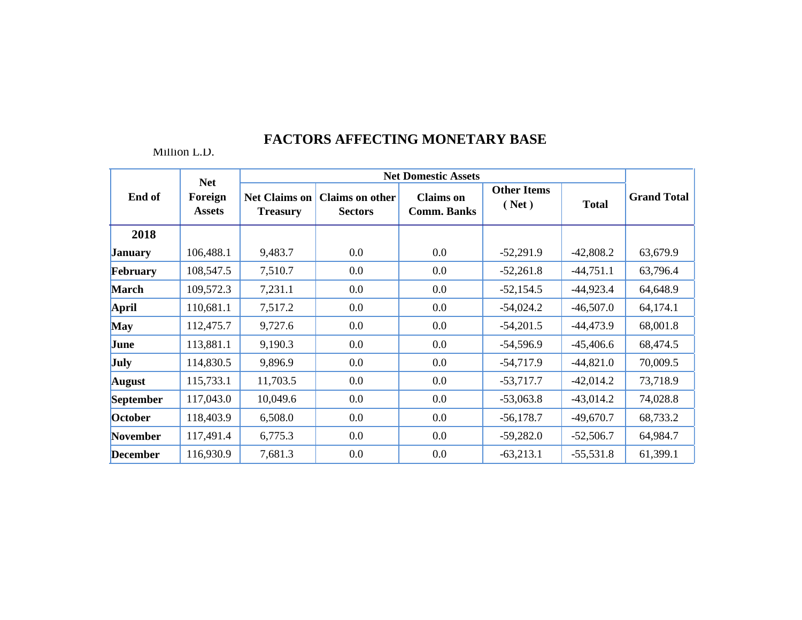|                  | <b>Net</b>               | <b>Net Domestic Assets</b>              |                                          |                                        |                             |              |                    |  |
|------------------|--------------------------|-----------------------------------------|------------------------------------------|----------------------------------------|-----------------------------|--------------|--------------------|--|
| End of           | Foreign<br><b>Assets</b> | <b>Net Claims on</b><br><b>Treasury</b> | <b>Claims on other</b><br><b>Sectors</b> | <b>Claims</b> on<br><b>Comm. Banks</b> | <b>Other Items</b><br>(Net) | <b>Total</b> | <b>Grand Total</b> |  |
| 2018             |                          |                                         |                                          |                                        |                             |              |                    |  |
| <b>January</b>   | 106,488.1                | 9,483.7                                 | 0.0                                      | $0.0\,$                                | $-52,291.9$                 | $-42,808.2$  | 63,679.9           |  |
| February         | 108,547.5                | 7,510.7                                 | 0.0                                      | 0.0                                    | $-52,261.8$                 | $-44,751.1$  | 63,796.4           |  |
| <b>March</b>     | 109,572.3                | 7,231.1                                 | 0.0                                      | $0.0\,$                                | $-52,154.5$                 | $-44,923.4$  | 64,648.9           |  |
| <b>April</b>     | 110,681.1                | 7,517.2                                 | 0.0                                      | $0.0\,$                                | $-54,024.2$                 | $-46,507.0$  | 64,174.1           |  |
| <b>May</b>       | 112,475.7                | 9,727.6                                 | 0.0                                      | $0.0\,$                                | $-54,201.5$                 | $-44,473.9$  | 68,001.8           |  |
| June             | 113,881.1                | 9,190.3                                 | 0.0                                      | $0.0\,$                                | $-54,596.9$                 | $-45,406.6$  | 68,474.5           |  |
| <b>July</b>      | 114,830.5                | 9,896.9                                 | 0.0                                      | $0.0\,$                                | $-54,717.9$                 | $-44,821.0$  | 70,009.5           |  |
| <b>August</b>    | 115,733.1                | 11,703.5                                | 0.0                                      | $0.0\,$                                | $-53,717.7$                 | $-42,014.2$  | 73,718.9           |  |
| <b>September</b> | 117,043.0                | 10,049.6                                | 0.0                                      | $0.0\,$                                | $-53,063.8$                 | $-43,014.2$  | 74,028.8           |  |
| October          | 118,403.9                | 6,508.0                                 | $0.0\,$                                  | $0.0\,$                                | $-56,178.7$                 | $-49,670.7$  | 68,733.2           |  |
| November         | 117,491.4                | 6,775.3                                 | 0.0                                      | $0.0\,$                                | $-59,282.0$                 | $-52,506.7$  | 64,984.7           |  |
| <b>December</b>  | 116,930.9                | 7,681.3                                 | 0.0                                      | 0.0                                    | $-63,213.1$                 | $-55,531.8$  | 61,399.1           |  |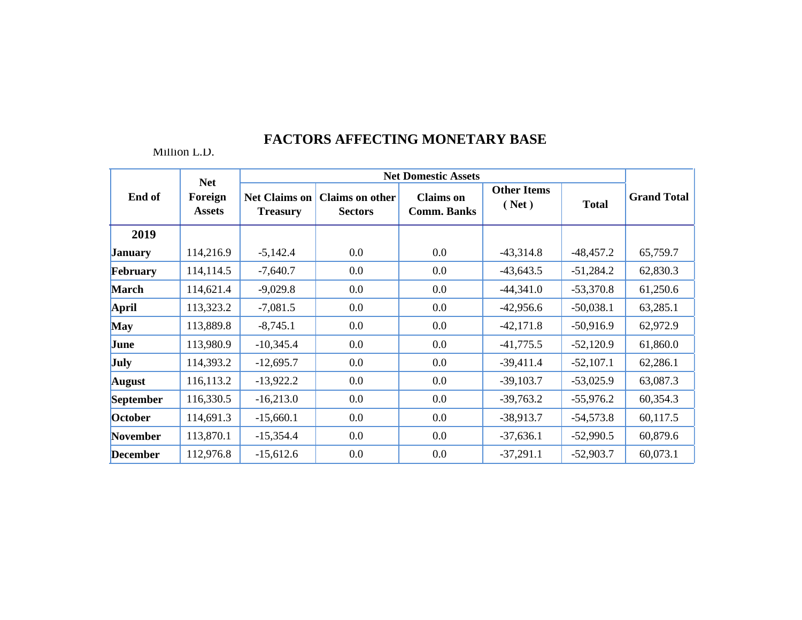|                  |                                        |                                         |                                          | <b>Net Domestic Assets</b>             |                             |              | <b>Grand Total</b> |
|------------------|----------------------------------------|-----------------------------------------|------------------------------------------|----------------------------------------|-----------------------------|--------------|--------------------|
| End of           | <b>Net</b><br>Foreign<br><b>Assets</b> | <b>Net Claims on</b><br><b>Treasury</b> | <b>Claims on other</b><br><b>Sectors</b> | <b>Claims</b> on<br><b>Comm. Banks</b> | <b>Other Items</b><br>(Net) | <b>Total</b> |                    |
| 2019             |                                        |                                         |                                          |                                        |                             |              |                    |
| <b>January</b>   | 114,216.9                              | $-5,142.4$                              | 0.0                                      | $0.0\,$                                | $-43,314.8$                 | $-48,457.2$  | 65,759.7           |
| February         | 114,114.5                              | $-7,640.7$                              | 0.0                                      | $0.0\,$                                | $-43,643.5$                 | $-51,284.2$  | 62,830.3           |
| <b>March</b>     | 114,621.4                              | $-9,029.8$                              | 0.0                                      | $0.0\,$                                | $-44,341.0$                 | $-53,370.8$  | 61,250.6           |
| April            | 113,323.2                              | $-7,081.5$                              | 0.0                                      | $0.0\,$                                | $-42,956.6$                 | $-50,038.1$  | 63,285.1           |
| <b>May</b>       | 113,889.8                              | $-8,745.1$                              | 0.0                                      | $0.0\,$                                | $-42,171.8$                 | $-50,916.9$  | 62,972.9           |
| June             | 113,980.9                              | $-10,345.4$                             | 0.0                                      | $0.0\,$                                | $-41,775.5$                 | $-52,120.9$  | 61,860.0           |
| <b>July</b>      | 114,393.2                              | $-12,695.7$                             | 0.0                                      | $0.0\,$                                | $-39,411.4$                 | $-52,107.1$  | 62,286.1           |
| <b>August</b>    | 116,113.2                              | $-13,922.2$                             | 0.0                                      | 0.0                                    | $-39,103.7$                 | $-53,025.9$  | 63,087.3           |
| <b>September</b> | 116,330.5                              | $-16,213.0$                             | 0.0                                      | $0.0\,$                                | $-39,763.2$                 | $-55,976.2$  | 60,354.3           |
| October          | 114,691.3                              | $-15,660.1$                             | 0.0                                      | $0.0\,$                                | $-38,913.7$                 | $-54,573.8$  | 60,117.5           |
| November         | 113,870.1                              | $-15,354.4$                             | 0.0                                      | $0.0\,$                                | $-37,636.1$                 | $-52,990.5$  | 60,879.6           |
| <b>December</b>  | 112,976.8                              | $-15,612.6$                             | 0.0                                      | 0.0                                    | $-37,291.1$                 | $-52,903.7$  | 60,073.1           |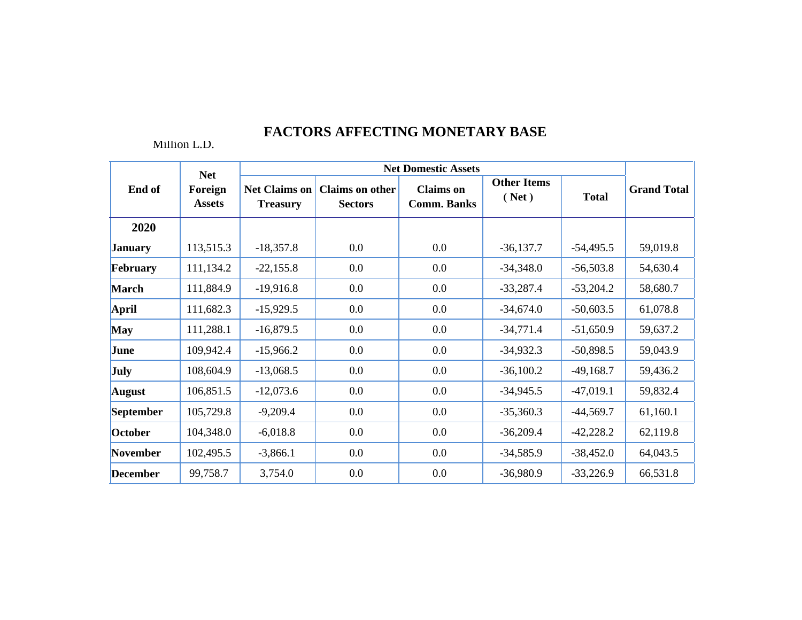|                 | <b>Net</b>               | <b>Net Domestic Assets</b>              |                                          |                                        |                             |              |                    |  |
|-----------------|--------------------------|-----------------------------------------|------------------------------------------|----------------------------------------|-----------------------------|--------------|--------------------|--|
| End of          | Foreign<br><b>Assets</b> | <b>Net Claims on</b><br><b>Treasury</b> | <b>Claims on other</b><br><b>Sectors</b> | <b>Claims</b> on<br><b>Comm. Banks</b> | <b>Other Items</b><br>(Net) | <b>Total</b> | <b>Grand Total</b> |  |
| 2020            |                          |                                         |                                          |                                        |                             |              |                    |  |
| <b>January</b>  | 113,515.3                | $-18,357.8$                             | 0.0                                      | 0.0                                    | $-36,137.7$                 | $-54,495.5$  | 59,019.8           |  |
| February        | 111,134.2                | $-22,155.8$                             | 0.0                                      | $0.0\,$                                | $-34,348.0$                 | $-56,503.8$  | 54,630.4           |  |
| <b>March</b>    | 111,884.9                | $-19,916.8$                             | 0.0                                      | 0.0                                    | $-33,287.4$                 | $-53,204.2$  | 58,680.7           |  |
| <b>April</b>    | 111,682.3                | $-15,929.5$                             | 0.0                                      | $0.0\,$                                | $-34,674.0$                 | $-50,603.5$  | 61,078.8           |  |
| <b>May</b>      | 111,288.1                | $-16,879.5$                             | 0.0                                      | 0.0                                    | $-34,771.4$                 | $-51,650.9$  | 59,637.2           |  |
| June            | 109,942.4                | $-15,966.2$                             | 0.0                                      | $0.0\,$                                | $-34,932.3$                 | $-50,898.5$  | 59,043.9           |  |
| <b>July</b>     | 108,604.9                | $-13,068.5$                             | 0.0                                      | $0.0\,$                                | $-36,100.2$                 | $-49,168.7$  | 59,436.2           |  |
| <b>August</b>   | 106,851.5                | $-12,073.6$                             | 0.0                                      | $0.0\,$                                | $-34,945.5$                 | $-47,019.1$  | 59,832.4           |  |
| September       | 105,729.8                | $-9,209.4$                              | 0.0                                      | 0.0                                    | $-35,360.3$                 | $-44,569.7$  | 61,160.1           |  |
| October         | 104,348.0                | $-6,018.8$                              | 0.0                                      | $0.0\,$                                | $-36,209.4$                 | $-42,228.2$  | 62,119.8           |  |
| <b>November</b> | 102,495.5                | $-3,866.1$                              | 0.0                                      | 0.0                                    | $-34,585.9$                 | $-38,452.0$  | 64,043.5           |  |
| <b>December</b> | 99,758.7                 | 3,754.0                                 | 0.0                                      | 0.0                                    | $-36,980.9$                 | $-33,226.9$  | 66,531.8           |  |